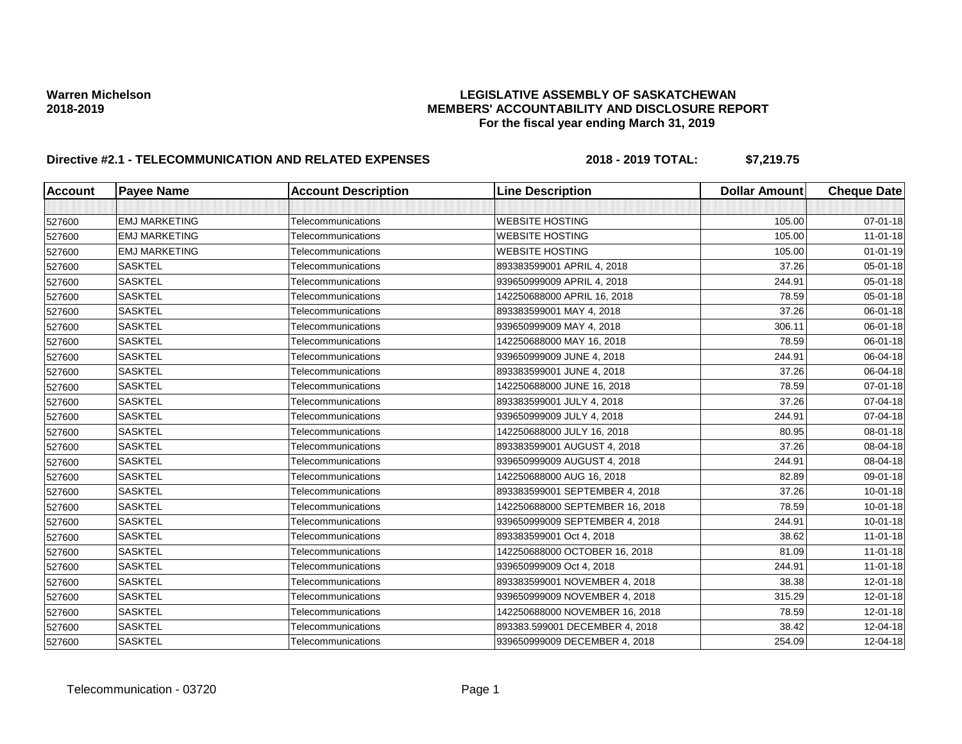| <b>Account</b> | <b>Payee Name</b>    | <b>Account Description</b> | <b>Line Description</b>         | <b>Dollar Amount</b> | <b>Cheque Date</b> |
|----------------|----------------------|----------------------------|---------------------------------|----------------------|--------------------|
|                |                      |                            |                                 |                      |                    |
| 527600         | <b>EMJ MARKETING</b> | Telecommunications         | <b>WEBSITE HOSTING</b>          | 105.00               | 07-01-18           |
| 527600         | <b>EMJ MARKETING</b> | Telecommunications         | <b>WEBSITE HOSTING</b>          | 105.00               | $11 - 01 - 18$     |
| 527600         | <b>EMJ MARKETING</b> | Telecommunications         | <b>WEBSITE HOSTING</b>          | 105.00               | $01 - 01 - 19$     |
| 527600         | <b>SASKTEL</b>       | Telecommunications         | 893383599001 APRIL 4, 2018      | 37.26                | 05-01-18           |
| 527600         | <b>SASKTEL</b>       | Telecommunications         | 939650999009 APRIL 4, 2018      | 244.91               | 05-01-18           |
| 527600         | <b>SASKTEL</b>       | Telecommunications         | 142250688000 APRIL 16, 2018     | 78.59                | 05-01-18           |
| 527600         | <b>SASKTEL</b>       | Telecommunications         | 893383599001 MAY 4, 2018        | 37.26                | 06-01-18           |
| 527600         | <b>SASKTEL</b>       | Telecommunications         | 939650999009 MAY 4, 2018        | 306.11               | 06-01-18           |
| 527600         | <b>SASKTEL</b>       | Telecommunications         | 142250688000 MAY 16, 2018       | 78.59                | 06-01-18           |
| 527600         | <b>SASKTEL</b>       | Telecommunications         | 939650999009 JUNE 4, 2018       | 244.91               | 06-04-18           |
| 527600         | <b>SASKTEL</b>       | Telecommunications         | 893383599001 JUNE 4, 2018       | 37.26                | 06-04-18           |
| 527600         | <b>SASKTEL</b>       | Telecommunications         | 142250688000 JUNE 16, 2018      | 78.59                | 07-01-18           |
| 527600         | <b>SASKTEL</b>       | Telecommunications         | 893383599001 JULY 4, 2018       | 37.26                | 07-04-18           |
| 527600         | <b>SASKTEL</b>       | Telecommunications         | 939650999009 JULY 4, 2018       | 244.91               | 07-04-18           |
| 527600         | <b>SASKTEL</b>       | Telecommunications         | 142250688000 JULY 16, 2018      | 80.95                | 08-01-18           |
| 527600         | <b>SASKTEL</b>       | Telecommunications         | 893383599001 AUGUST 4, 2018     | 37.26                | 08-04-18           |
| 527600         | <b>SASKTEL</b>       | Telecommunications         | 939650999009 AUGUST 4, 2018     | 244.91               | 08-04-18           |
| 527600         | <b>SASKTEL</b>       | Telecommunications         | 142250688000 AUG 16, 2018       | 82.89                | 09-01-18           |
| 527600         | <b>SASKTEL</b>       | Telecommunications         | 893383599001 SEPTEMBER 4, 2018  | 37.26                | $10 - 01 - 18$     |
| 527600         | <b>SASKTEL</b>       | Telecommunications         | 142250688000 SEPTEMBER 16, 2018 | 78.59                | $10 - 01 - 18$     |
| 527600         | <b>SASKTEL</b>       | Telecommunications         | 939650999009 SEPTEMBER 4, 2018  | 244.91               | $10 - 01 - 18$     |
| 527600         | <b>SASKTEL</b>       | Telecommunications         | 893383599001 Oct 4, 2018        | 38.62                | $11 - 01 - 18$     |
| 527600         | <b>SASKTEL</b>       | Telecommunications         | 142250688000 OCTOBER 16, 2018   | 81.09                | $11 - 01 - 18$     |
| 527600         | <b>SASKTEL</b>       | Telecommunications         | 939650999009 Oct 4, 2018        | 244.91               | $11 - 01 - 18$     |
| 527600         | <b>SASKTEL</b>       | Telecommunications         | 893383599001 NOVEMBER 4, 2018   | 38.38                | 12-01-18           |
| 527600         | <b>SASKTEL</b>       | Telecommunications         | 939650999009 NOVEMBER 4, 2018   | 315.29               | $12 - 01 - 18$     |
| 527600         | <b>SASKTEL</b>       | Telecommunications         | 142250688000 NOVEMBER 16, 2018  | 78.59                | $12 - 01 - 18$     |
| 527600         | <b>SASKTEL</b>       | Telecommunications         | 893383.599001 DECEMBER 4, 2018  | 38.42                | 12-04-18           |
| 527600         | <b>SASKTEL</b>       | Telecommunications         | 939650999009 DECEMBER 4, 2018   | 254.09               | 12-04-18           |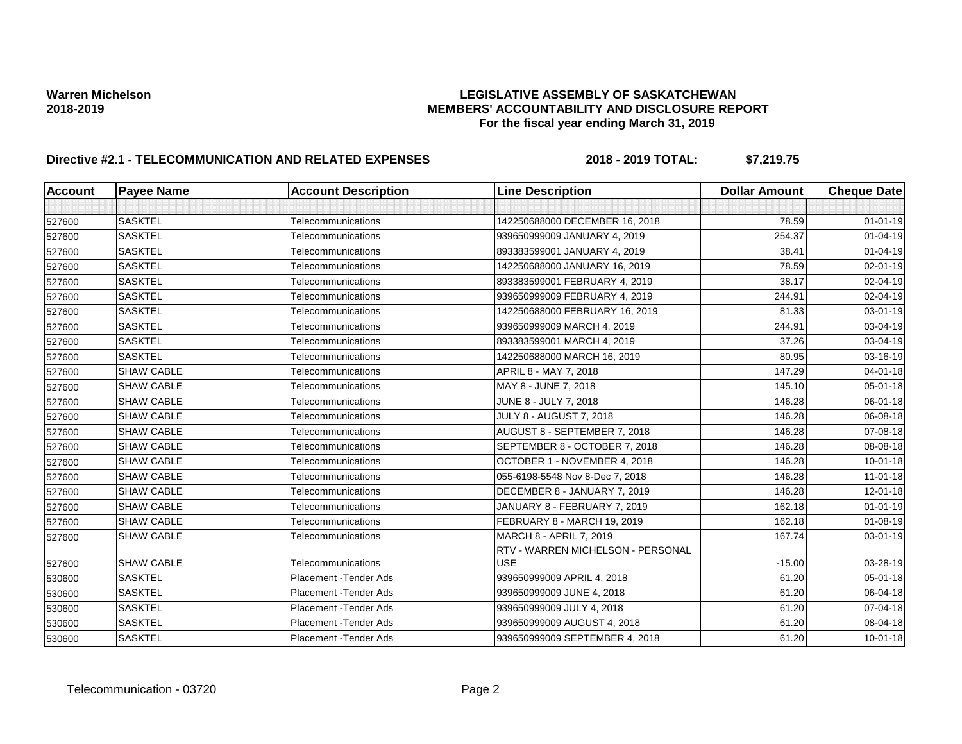| <b>Account</b> | <b>Payee Name</b> | <b>Account Description</b> | <b>Line Description</b>                         | <b>Dollar Amount</b> | <b>Cheque Date</b> |
|----------------|-------------------|----------------------------|-------------------------------------------------|----------------------|--------------------|
|                |                   |                            |                                                 |                      |                    |
| 527600         | <b>SASKTEL</b>    | <b>Telecommunications</b>  | 142250688000 DECEMBER 16, 2018                  | 78.59                | $01 - 01 - 19$     |
| 527600         | <b>SASKTEL</b>    | Telecommunications         | 939650999009 JANUARY 4, 2019                    | 254.37               | $01 - 04 - 19$     |
| 527600         | <b>SASKTEL</b>    | Telecommunications         | 893383599001 JANUARY 4, 2019                    | 38.41                | $01 - 04 - 19$     |
| 527600         | <b>SASKTEL</b>    | Telecommunications         | 142250688000 JANUARY 16, 2019                   | 78.59                | 02-01-19           |
| 527600         | <b>SASKTEL</b>    | Telecommunications         | 893383599001 FEBRUARY 4, 2019                   | 38.17                | 02-04-19           |
| 527600         | <b>SASKTEL</b>    | Telecommunications         | 939650999009 FEBRUARY 4, 2019                   | 244.91               | 02-04-19           |
| 527600         | <b>SASKTEL</b>    | Telecommunications         | 142250688000 FEBRUARY 16, 2019                  | 81.33                | 03-01-19           |
| 527600         | <b>SASKTEL</b>    | Telecommunications         | 939650999009 MARCH 4, 2019                      | 244.91               | 03-04-19           |
| 527600         | <b>SASKTEL</b>    | Telecommunications         | 893383599001 MARCH 4, 2019                      | 37.26                | 03-04-19           |
| 527600         | <b>SASKTEL</b>    | Telecommunications         | 142250688000 MARCH 16, 2019                     | 80.95                | 03-16-19           |
| 527600         | <b>SHAW CABLE</b> | Telecommunications         | APRIL 8 - MAY 7, 2018                           | 147.29               | 04-01-18           |
| 527600         | <b>SHAW CABLE</b> | Telecommunications         | MAY 8 - JUNE 7, 2018                            | 145.10               | 05-01-18           |
| 527600         | <b>SHAW CABLE</b> | Telecommunications         | JUNE 8 - JULY 7, 2018                           | 146.28               | 06-01-18           |
| 527600         | <b>SHAW CABLE</b> | Telecommunications         | <b>JULY 8 - AUGUST 7, 2018</b>                  | 146.28               | 06-08-18           |
| 527600         | <b>SHAW CABLE</b> | Telecommunications         | AUGUST 8 - SEPTEMBER 7, 2018                    | 146.28               | 07-08-18           |
| 527600         | <b>SHAW CABLE</b> | Telecommunications         | SEPTEMBER 8 - OCTOBER 7, 2018                   | 146.28               | 08-08-18           |
| 527600         | <b>SHAW CABLE</b> | Telecommunications         | OCTOBER 1 - NOVEMBER 4, 2018                    | 146.28               | $10 - 01 - 18$     |
| 527600         | <b>SHAW CABLE</b> | Telecommunications         | 055-6198-5548 Nov 8-Dec 7, 2018                 | 146.28               | $11-01-18$         |
| 527600         | <b>SHAW CABLE</b> | Telecommunications         | DECEMBER 8 - JANUARY 7, 2019                    | 146.28               | 12-01-18           |
| 527600         | <b>SHAW CABLE</b> | Telecommunications         | JANUARY 8 - FEBRUARY 7, 2019                    | 162.18               | $01 - 01 - 19$     |
| 527600         | <b>SHAW CABLE</b> | Telecommunications         | FEBRUARY 8 - MARCH 19, 2019                     | 162.18               | 01-08-19           |
| 527600         | <b>SHAW CABLE</b> | Telecommunications         | MARCH 8 - APRIL 7, 2019                         | 167.74               | 03-01-19           |
| 527600         | <b>SHAW CABLE</b> | Telecommunications         | RTV - WARREN MICHELSON - PERSONAL<br><b>USE</b> | $-15.00$             | 03-28-19           |
| 530600         | <b>SASKTEL</b>    | Placement - Tender Ads     | 939650999009 APRIL 4, 2018                      | 61.20                | 05-01-18           |
| 530600         | <b>SASKTEL</b>    | Placement - Tender Ads     | 939650999009 JUNE 4, 2018                       | 61.20                | 06-04-18           |
| 530600         | <b>SASKTEL</b>    | Placement - Tender Ads     | 939650999009 JULY 4, 2018                       | 61.20                | 07-04-18           |
| 530600         | <b>SASKTEL</b>    | Placement - Tender Ads     | 939650999009 AUGUST 4, 2018                     | 61.20                | 08-04-18           |
| 530600         | <b>SASKTEL</b>    | Placement - Tender Ads     | 939650999009 SEPTEMBER 4, 2018                  | 61.20                | $10 - 01 - 18$     |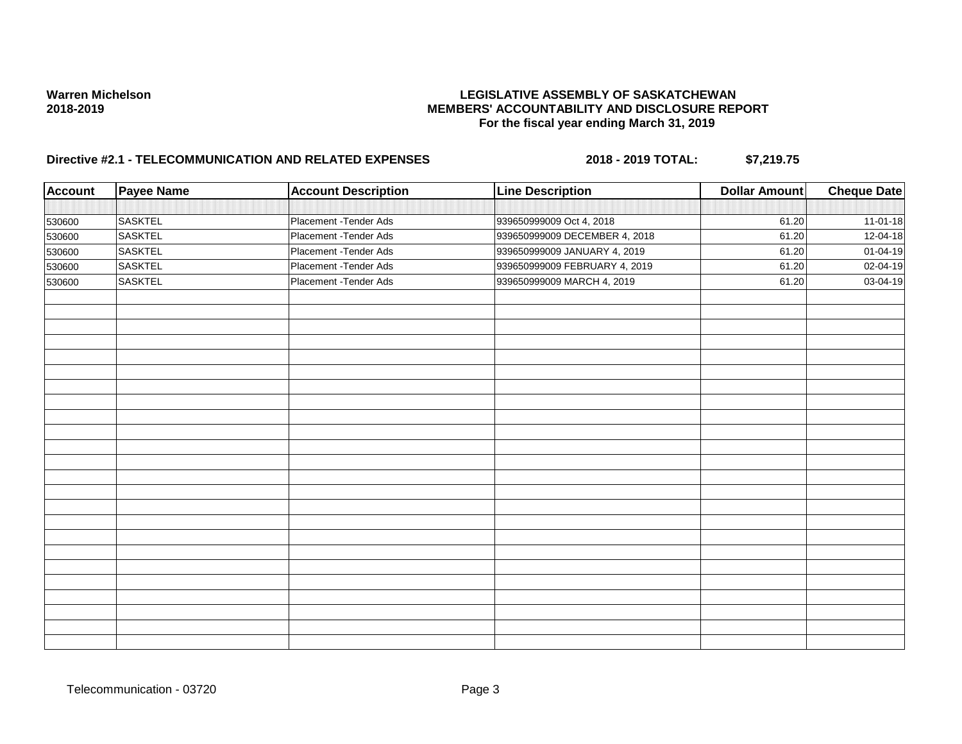| Account | Payee Name     | <b>Account Description</b> | <b>Line Description</b>       | <b>Dollar Amount</b> | <b>Cheque Date</b>        |
|---------|----------------|----------------------------|-------------------------------|----------------------|---------------------------|
|         |                |                            |                               |                      |                           |
| 530600  | <b>SASKTEL</b> | Placement - Tender Ads     | 939650999009 Oct 4, 2018      | 61.20                | $11-01-18$                |
| 530600  | <b>SASKTEL</b> | Placement - Tender Ads     | 939650999009 DECEMBER 4, 2018 | 61.20                | 12-04-18                  |
| 530600  | <b>SASKTEL</b> | Placement - Tender Ads     | 939650999009 JANUARY 4, 2019  | 61.20                | 01-04-19                  |
| 530600  | <b>SASKTEL</b> | Placement - Tender Ads     | 939650999009 FEBRUARY 4, 2019 | 61.20                | 02-04-19                  |
| 530600  | <b>SASKTEL</b> | Placement - Tender Ads     | 939650999009 MARCH 4, 2019    | 61.20                | $\overline{03} - 04 - 19$ |
|         |                |                            |                               |                      |                           |
|         |                |                            |                               |                      |                           |
|         |                |                            |                               |                      |                           |
|         |                |                            |                               |                      |                           |
|         |                |                            |                               |                      |                           |
|         |                |                            |                               |                      |                           |
|         |                |                            |                               |                      |                           |
|         |                |                            |                               |                      |                           |
|         |                |                            |                               |                      |                           |
|         |                |                            |                               |                      |                           |
|         |                |                            |                               |                      |                           |
|         |                |                            |                               |                      |                           |
|         |                |                            |                               |                      |                           |
|         |                |                            |                               |                      |                           |
|         |                |                            |                               |                      |                           |
|         |                |                            |                               |                      |                           |
|         |                |                            |                               |                      |                           |
|         |                |                            |                               |                      |                           |
|         |                |                            |                               |                      |                           |
|         |                |                            |                               |                      |                           |
|         |                |                            |                               |                      |                           |
|         |                |                            |                               |                      |                           |
|         |                |                            |                               |                      |                           |
|         |                |                            |                               |                      |                           |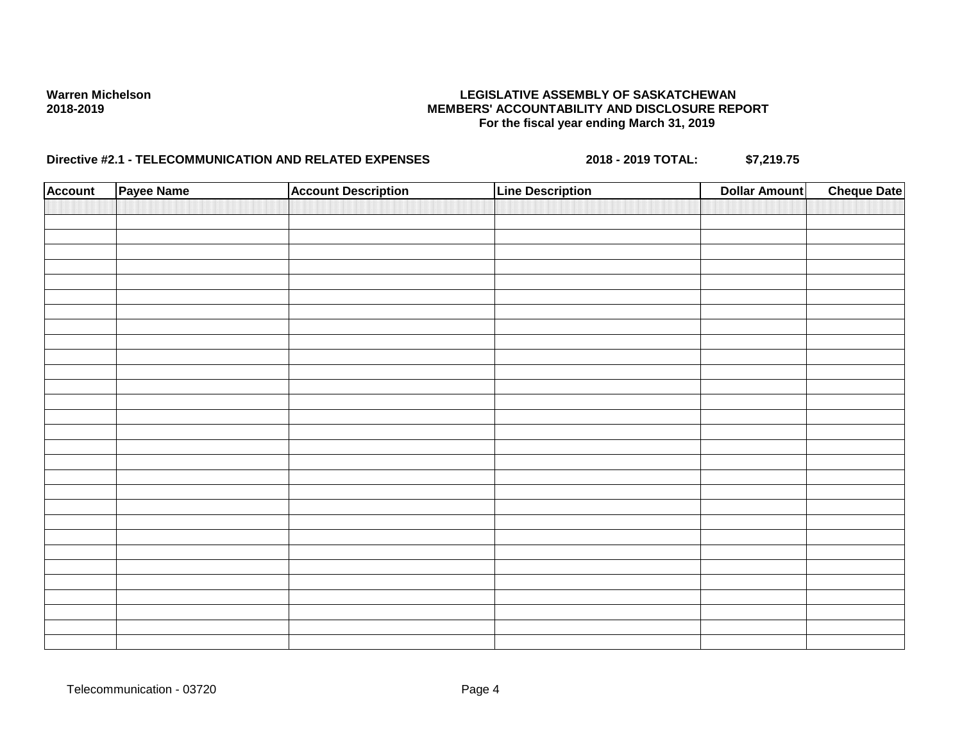| <b>Account</b> | Payee Name | <b>Account Description</b> | <b>Line Description</b> | <b>Dollar Amount</b> | <b>Cheque Date</b> |
|----------------|------------|----------------------------|-------------------------|----------------------|--------------------|
|                |            |                            |                         |                      |                    |
|                |            |                            |                         |                      |                    |
|                |            |                            |                         |                      |                    |
|                |            |                            |                         |                      |                    |
|                |            |                            |                         |                      |                    |
|                |            |                            |                         |                      |                    |
|                |            |                            |                         |                      |                    |
|                |            |                            |                         |                      |                    |
|                |            |                            |                         |                      |                    |
|                |            |                            |                         |                      |                    |
|                |            |                            |                         |                      |                    |
|                |            |                            |                         |                      |                    |
|                |            |                            |                         |                      |                    |
|                |            |                            |                         |                      |                    |
|                |            |                            |                         |                      |                    |
|                |            |                            |                         |                      |                    |
|                |            |                            |                         |                      |                    |
|                |            |                            |                         |                      |                    |
|                |            |                            |                         |                      |                    |
|                |            |                            |                         |                      |                    |
|                |            |                            |                         |                      |                    |
|                |            |                            |                         |                      |                    |
|                |            |                            |                         |                      |                    |
|                |            |                            |                         |                      |                    |
|                |            |                            |                         |                      |                    |
|                |            |                            |                         |                      |                    |
|                |            |                            |                         |                      |                    |
|                |            |                            |                         |                      |                    |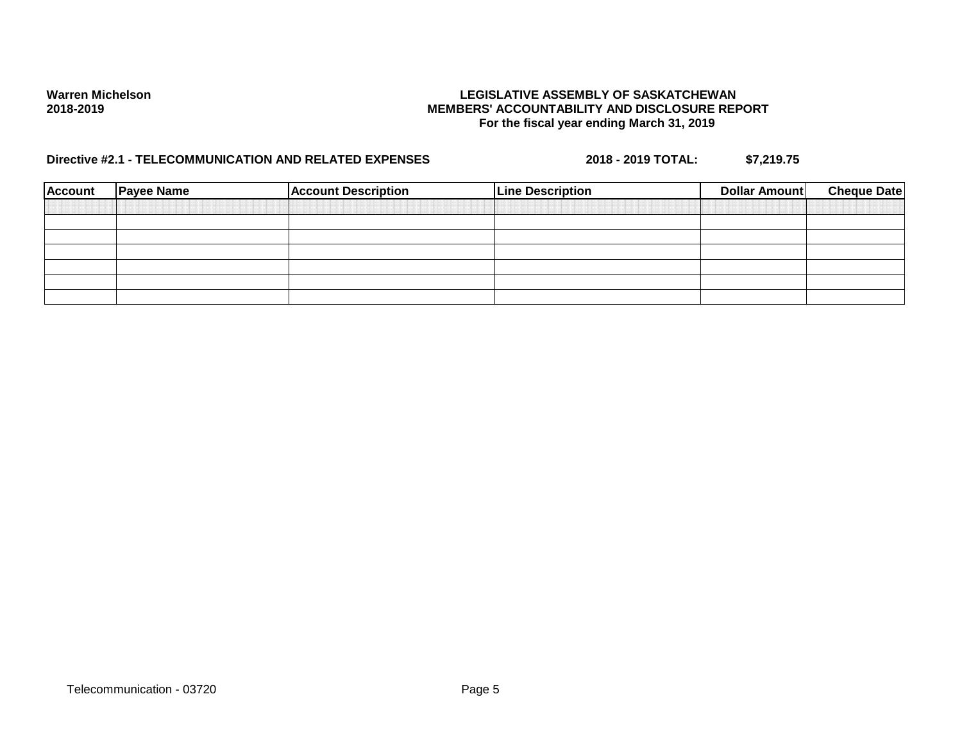| <b>Account</b> | <b>Payee Name</b> | <b>Account Description</b> | <b>Line Description</b> | Dollar Amount | <b>Cheque Date</b> |
|----------------|-------------------|----------------------------|-------------------------|---------------|--------------------|
|                |                   |                            |                         |               |                    |
|                |                   |                            |                         |               |                    |
|                |                   |                            |                         |               |                    |
|                |                   |                            |                         |               |                    |
|                |                   |                            |                         |               |                    |
|                |                   |                            |                         |               |                    |
|                |                   |                            |                         |               |                    |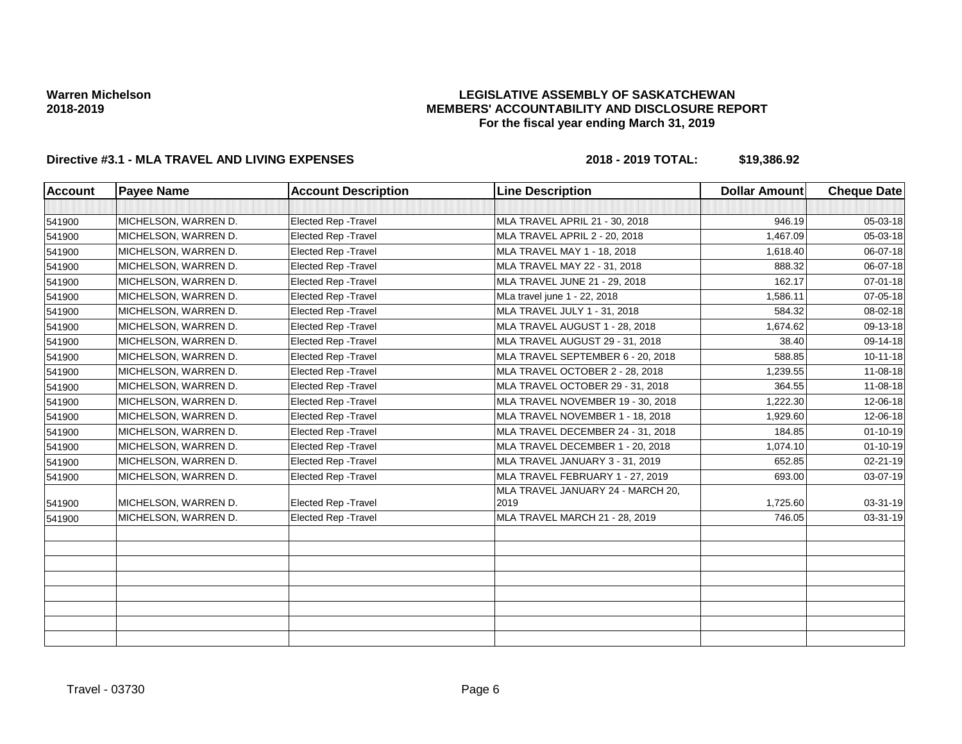## **LEGISLATIVE ASSEMBLY OF SASKATCHEWAN MEMBERS' ACCOUNTABILITY AND DISCLOSURE REPORT For the fiscal year ending March 31, 2019**

| <b>Account</b> | <b>Payee Name</b>    | <b>Account Description</b>  | <b>Line Description</b>                   | <b>Dollar Amount</b> | <b>Cheque Date</b> |
|----------------|----------------------|-----------------------------|-------------------------------------------|----------------------|--------------------|
|                |                      |                             |                                           |                      |                    |
| 541900         | MICHELSON, WARREN D. | <b>Elected Rep - Travel</b> | MLA TRAVEL APRIL 21 - 30, 2018            | 946.19               | 05-03-18           |
| 541900         | MICHELSON, WARREN D. | <b>Elected Rep - Travel</b> | <b>MLA TRAVEL APRIL 2 - 20, 2018</b>      | 1,467.09             | 05-03-18           |
| 541900         | MICHELSON, WARREN D. | <b>Elected Rep - Travel</b> | MLA TRAVEL MAY 1 - 18, 2018               | 1,618.40             | 06-07-18           |
| 541900         | MICHELSON, WARREN D. | Elected Rep - Travel        | MLA TRAVEL MAY 22 - 31, 2018              | 888.32               | 06-07-18           |
| 541900         | MICHELSON, WARREN D. | Elected Rep - Travel        | MLA TRAVEL JUNE 21 - 29, 2018             | 162.17               | 07-01-18           |
| 541900         | MICHELSON, WARREN D. | <b>Elected Rep - Travel</b> | MLa travel june 1 - 22, 2018              | 1,586.11             | 07-05-18           |
| 541900         | MICHELSON, WARREN D. | Elected Rep - Travel        | MLA TRAVEL JULY 1 - 31, 2018              | 584.32               | 08-02-18           |
| 541900         | MICHELSON, WARREN D. | <b>Elected Rep - Travel</b> | MLA TRAVEL AUGUST 1 - 28, 2018            | 1,674.62             | 09-13-18           |
| 541900         | MICHELSON, WARREN D. | <b>Elected Rep - Travel</b> | MLA TRAVEL AUGUST 29 - 31, 2018           | 38.40                | 09-14-18           |
| 541900         | MICHELSON, WARREN D. | Elected Rep - Travel        | MLA TRAVEL SEPTEMBER 6 - 20, 2018         | 588.85               | $10 - 11 - 18$     |
| 541900         | MICHELSON, WARREN D. | <b>Elected Rep - Travel</b> | MLA TRAVEL OCTOBER 2 - 28, 2018           | 1,239.55             | 11-08-18           |
| 541900         | MICHELSON, WARREN D. | Elected Rep - Travel        | MLA TRAVEL OCTOBER 29 - 31, 2018          | 364.55               | 11-08-18           |
| 541900         | MICHELSON, WARREN D. | Elected Rep - Travel        | MLA TRAVEL NOVEMBER 19 - 30, 2018         | 1,222.30             | 12-06-18           |
| 541900         | MICHELSON, WARREN D. | <b>Elected Rep - Travel</b> | MLA TRAVEL NOVEMBER 1 - 18, 2018          | 1,929.60             | 12-06-18           |
| 541900         | MICHELSON, WARREN D. | <b>Elected Rep - Travel</b> | MLA TRAVEL DECEMBER 24 - 31, 2018         | 184.85               | $01 - 10 - 19$     |
| 541900         | MICHELSON, WARREN D. | Elected Rep - Travel        | MLA TRAVEL DECEMBER 1 - 20, 2018          | 1,074.10             | $01 - 10 - 19$     |
| 541900         | MICHELSON, WARREN D. | Elected Rep - Travel        | MLA TRAVEL JANUARY 3 - 31, 2019           | 652.85               | 02-21-19           |
| 541900         | MICHELSON, WARREN D. | Elected Rep - Travel        | MLA TRAVEL FEBRUARY 1 - 27, 2019          | 693.00               | 03-07-19           |
| 541900         | MICHELSON, WARREN D. | Elected Rep - Travel        | MLA TRAVEL JANUARY 24 - MARCH 20,<br>2019 | 1,725.60             | 03-31-19           |
| 541900         | MICHELSON, WARREN D. | Elected Rep - Travel        | MLA TRAVEL MARCH 21 - 28, 2019            | 746.05               | 03-31-19           |
|                |                      |                             |                                           |                      |                    |
|                |                      |                             |                                           |                      |                    |
|                |                      |                             |                                           |                      |                    |
|                |                      |                             |                                           |                      |                    |
|                |                      |                             |                                           |                      |                    |
|                |                      |                             |                                           |                      |                    |
|                |                      |                             |                                           |                      |                    |
|                |                      |                             |                                           |                      |                    |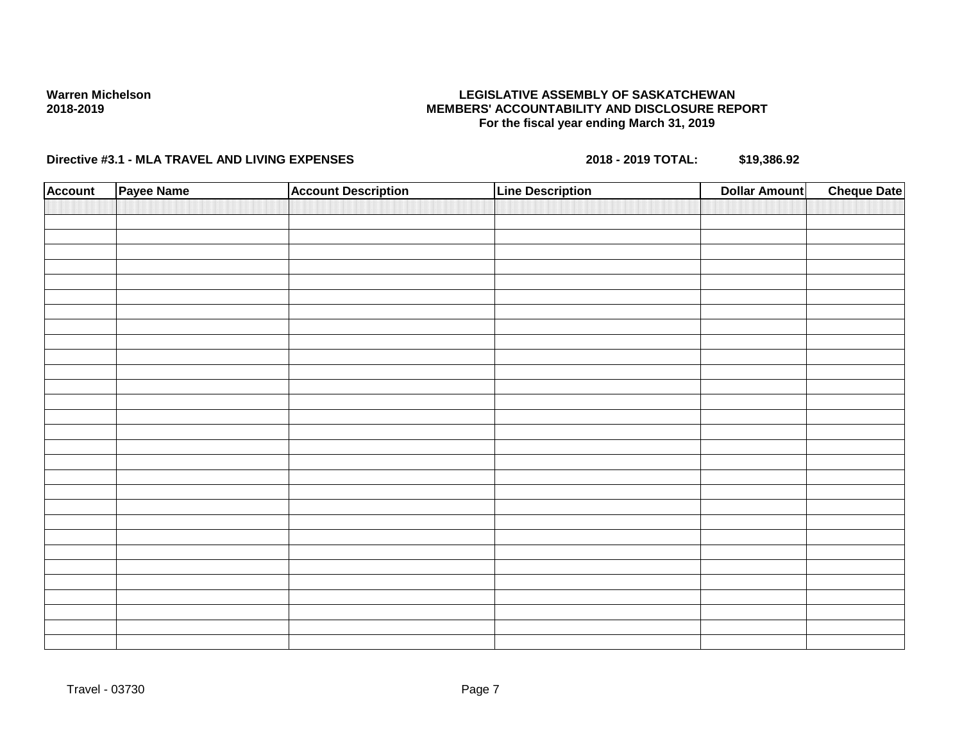## **LEGISLATIVE ASSEMBLY OF SASKATCHEWAN MEMBERS' ACCOUNTABILITY AND DISCLOSURE REPORT For the fiscal year ending March 31, 2019**

| <b>Account</b> | Payee Name | <b>Account Description</b> | <b>Line Description</b> | <b>Dollar Amount</b> | <b>Cheque Date</b> |
|----------------|------------|----------------------------|-------------------------|----------------------|--------------------|
|                |            |                            |                         |                      |                    |
|                |            |                            |                         |                      |                    |
|                |            |                            |                         |                      |                    |
|                |            |                            |                         |                      |                    |
|                |            |                            |                         |                      |                    |
|                |            |                            |                         |                      |                    |
|                |            |                            |                         |                      |                    |
|                |            |                            |                         |                      |                    |
|                |            |                            |                         |                      |                    |
|                |            |                            |                         |                      |                    |
|                |            |                            |                         |                      |                    |
|                |            |                            |                         |                      |                    |
|                |            |                            |                         |                      |                    |
|                |            |                            |                         |                      |                    |
|                |            |                            |                         |                      |                    |
|                |            |                            |                         |                      |                    |
|                |            |                            |                         |                      |                    |
|                |            |                            |                         |                      |                    |
|                |            |                            |                         |                      |                    |
|                |            |                            |                         |                      |                    |
|                |            |                            |                         |                      |                    |
|                |            |                            |                         |                      |                    |
|                |            |                            |                         |                      |                    |
|                |            |                            |                         |                      |                    |
|                |            |                            |                         |                      |                    |
|                |            |                            |                         |                      |                    |
|                |            |                            |                         |                      |                    |
|                |            |                            |                         |                      |                    |
|                |            |                            |                         |                      |                    |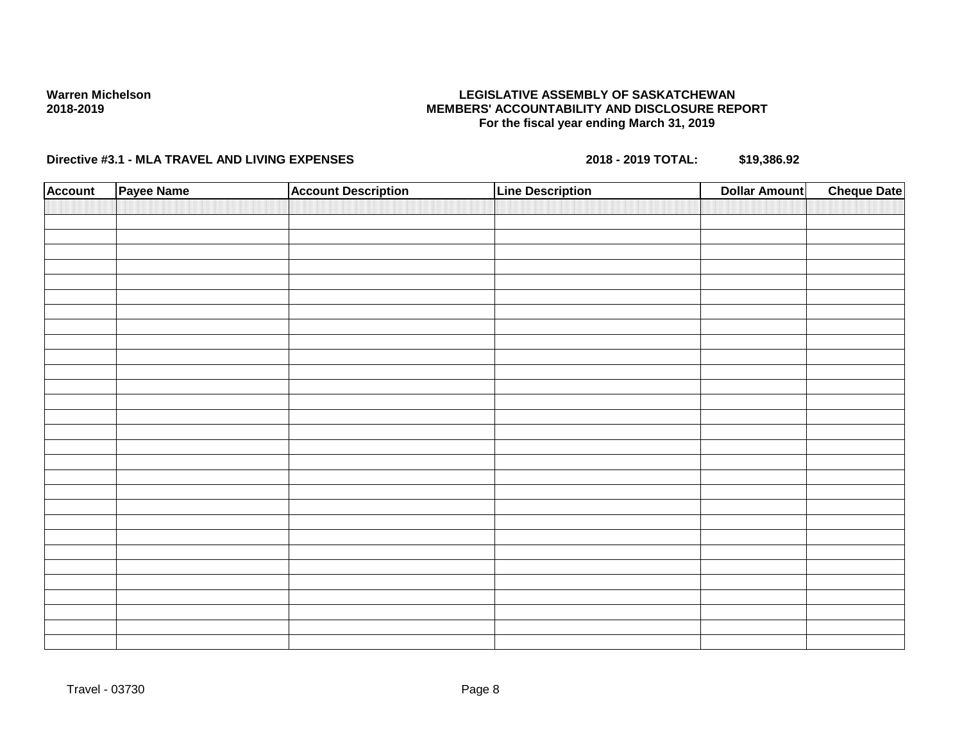## **LEGISLATIVE ASSEMBLY OF SASKATCHEWAN MEMBERS' ACCOUNTABILITY AND DISCLOSURE REPORT For the fiscal year ending March 31, 2019**

| <b>Account</b> | Payee Name | <b>Account Description</b> | <b>Line Description</b> | <b>Dollar Amount</b> | <b>Cheque Date</b> |
|----------------|------------|----------------------------|-------------------------|----------------------|--------------------|
|                |            |                            |                         |                      |                    |
|                |            |                            |                         |                      |                    |
|                |            |                            |                         |                      |                    |
|                |            |                            |                         |                      |                    |
|                |            |                            |                         |                      |                    |
|                |            |                            |                         |                      |                    |
|                |            |                            |                         |                      |                    |
|                |            |                            |                         |                      |                    |
|                |            |                            |                         |                      |                    |
|                |            |                            |                         |                      |                    |
|                |            |                            |                         |                      |                    |
|                |            |                            |                         |                      |                    |
|                |            |                            |                         |                      |                    |
|                |            |                            |                         |                      |                    |
|                |            |                            |                         |                      |                    |
|                |            |                            |                         |                      |                    |
|                |            |                            |                         |                      |                    |
|                |            |                            |                         |                      |                    |
|                |            |                            |                         |                      |                    |
|                |            |                            |                         |                      |                    |
|                |            |                            |                         |                      |                    |
|                |            |                            |                         |                      |                    |
|                |            |                            |                         |                      |                    |
|                |            |                            |                         |                      |                    |
|                |            |                            |                         |                      |                    |
|                |            |                            |                         |                      |                    |
|                |            |                            |                         |                      |                    |
|                |            |                            |                         |                      |                    |
|                |            |                            |                         |                      |                    |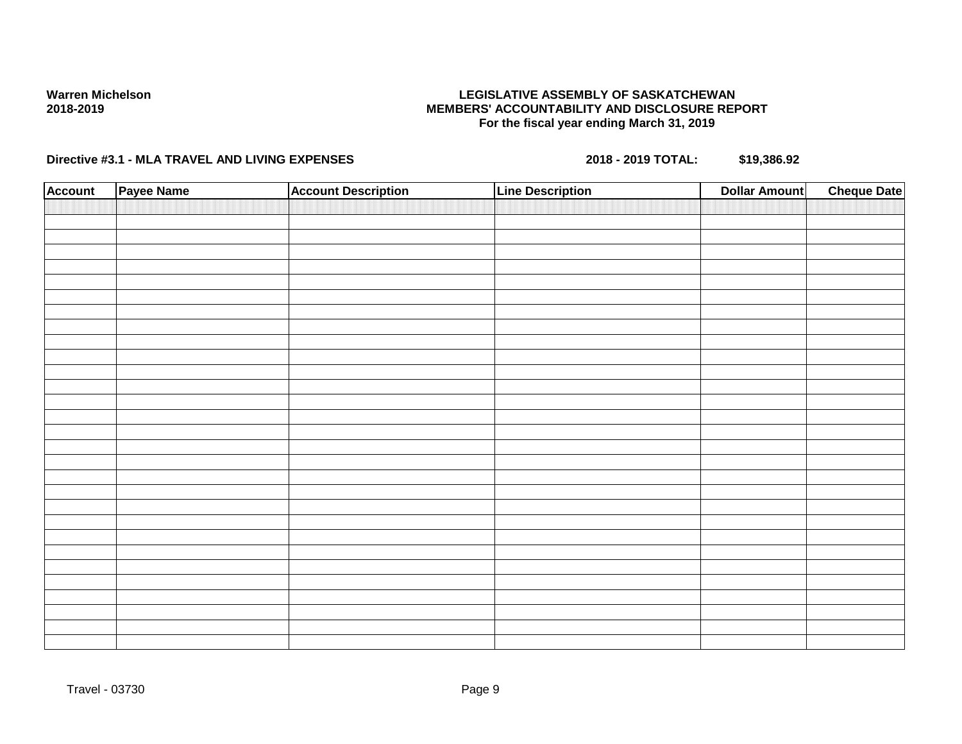## **LEGISLATIVE ASSEMBLY OF SASKATCHEWAN MEMBERS' ACCOUNTABILITY AND DISCLOSURE REPORT For the fiscal year ending March 31, 2019**

| <b>Account</b> | Payee Name | <b>Account Description</b> | <b>Line Description</b> | <b>Dollar Amount</b> | <b>Cheque Date</b> |
|----------------|------------|----------------------------|-------------------------|----------------------|--------------------|
|                |            |                            |                         |                      |                    |
|                |            |                            |                         |                      |                    |
|                |            |                            |                         |                      |                    |
|                |            |                            |                         |                      |                    |
|                |            |                            |                         |                      |                    |
|                |            |                            |                         |                      |                    |
|                |            |                            |                         |                      |                    |
|                |            |                            |                         |                      |                    |
|                |            |                            |                         |                      |                    |
|                |            |                            |                         |                      |                    |
|                |            |                            |                         |                      |                    |
|                |            |                            |                         |                      |                    |
|                |            |                            |                         |                      |                    |
|                |            |                            |                         |                      |                    |
|                |            |                            |                         |                      |                    |
|                |            |                            |                         |                      |                    |
|                |            |                            |                         |                      |                    |
|                |            |                            |                         |                      |                    |
|                |            |                            |                         |                      |                    |
|                |            |                            |                         |                      |                    |
|                |            |                            |                         |                      |                    |
|                |            |                            |                         |                      |                    |
|                |            |                            |                         |                      |                    |
|                |            |                            |                         |                      |                    |
|                |            |                            |                         |                      |                    |
|                |            |                            |                         |                      |                    |
|                |            |                            |                         |                      |                    |
|                |            |                            |                         |                      |                    |
|                |            |                            |                         |                      |                    |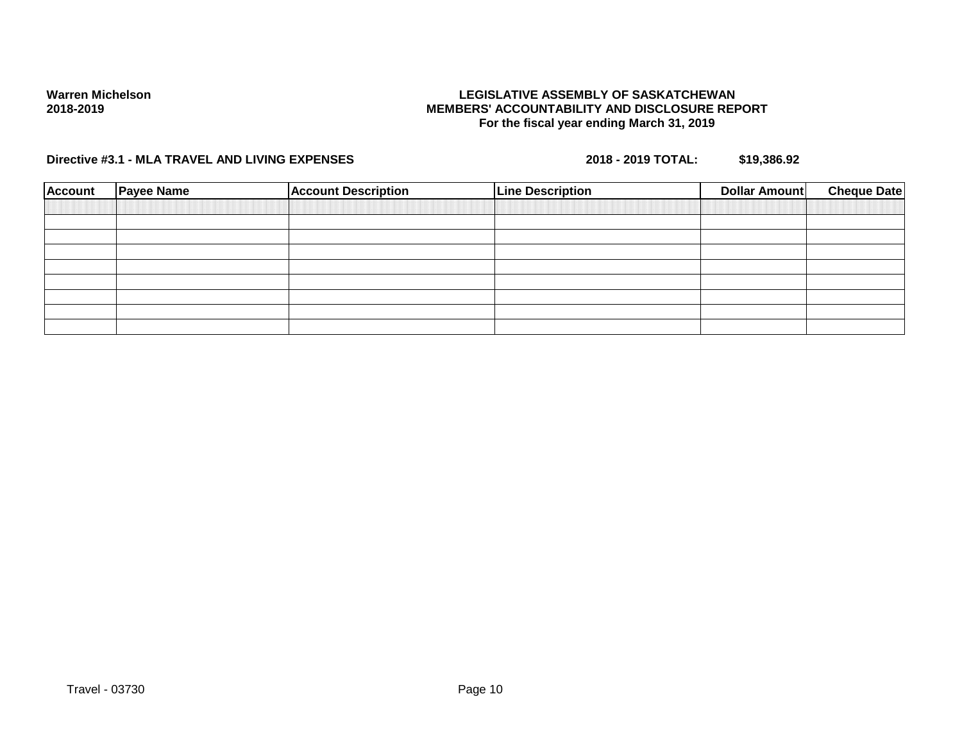## **LEGISLATIVE ASSEMBLY OF SASKATCHEWAN MEMBERS' ACCOUNTABILITY AND DISCLOSURE REPORT For the fiscal year ending March 31, 2019**

| <b>Account</b> | <b>Payee Name</b> | <b>Account Description</b> | <b>Line Description</b> | Dollar Amount | <b>Cheque Date</b> |
|----------------|-------------------|----------------------------|-------------------------|---------------|--------------------|
|                |                   |                            |                         |               |                    |
|                |                   |                            |                         |               |                    |
|                |                   |                            |                         |               |                    |
|                |                   |                            |                         |               |                    |
|                |                   |                            |                         |               |                    |
|                |                   |                            |                         |               |                    |
|                |                   |                            |                         |               |                    |
|                |                   |                            |                         |               |                    |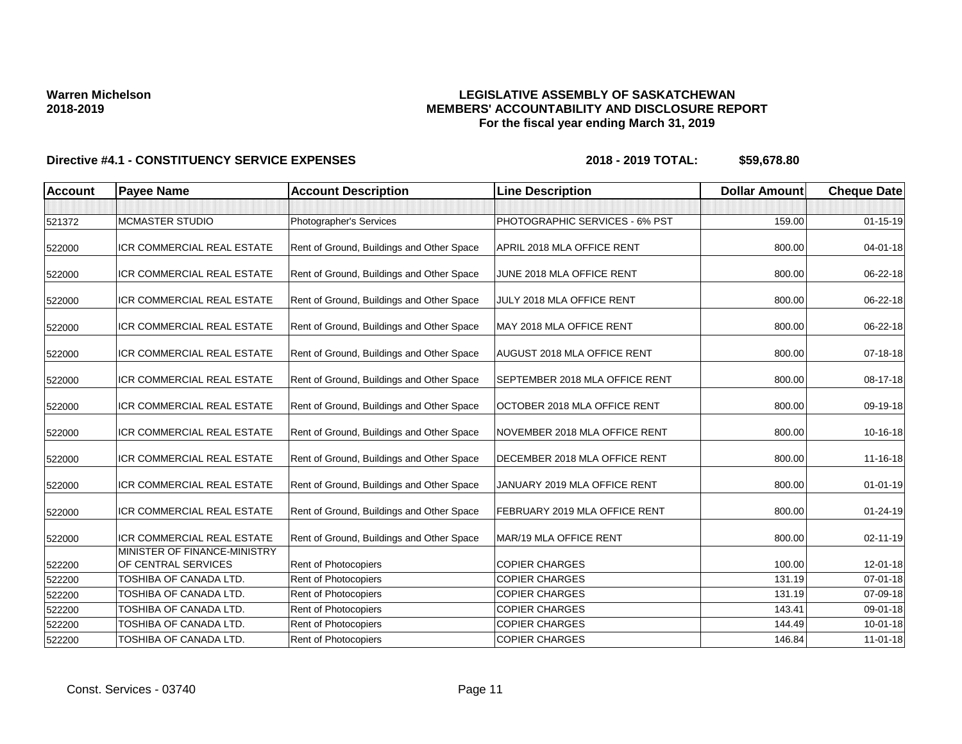## **LEGISLATIVE ASSEMBLY OF SASKATCHEWAN MEMBERS' ACCOUNTABILITY AND DISCLOSURE REPORT For the fiscal year ending March 31, 2019**

| <b>Account</b> | <b>Payee Name</b>                                   | <b>Account Description</b>                | <b>Line Description</b>            | <b>Dollar Amount</b> | <b>Cheque Date</b> |
|----------------|-----------------------------------------------------|-------------------------------------------|------------------------------------|----------------------|--------------------|
|                |                                                     |                                           |                                    |                      |                    |
| 521372         | <b>MCMASTER STUDIO</b>                              | Photographer's Services                   | PHOTOGRAPHIC SERVICES - 6% PST     | 159.00               | $01 - 15 - 19$     |
| 522000         | <b>ICR COMMERCIAL REAL ESTATE</b>                   | Rent of Ground, Buildings and Other Space | APRIL 2018 MLA OFFICE RENT         | 800.00               | $04 - 01 - 18$     |
| 522000         | ICR COMMERCIAL REAL ESTATE                          | Rent of Ground, Buildings and Other Space | JUNE 2018 MLA OFFICE RENT          | 800.00               | 06-22-18           |
| 522000         | ICR COMMERCIAL REAL ESTATE                          | Rent of Ground, Buildings and Other Space | JULY 2018 MLA OFFICE RENT          | 800.00               | 06-22-18           |
| 522000         | ICR COMMERCIAL REAL ESTATE                          | Rent of Ground, Buildings and Other Space | MAY 2018 MLA OFFICE RENT           | 800.00               | 06-22-18           |
| 522000         | ICR COMMERCIAL REAL ESTATE                          | Rent of Ground, Buildings and Other Space | <b>AUGUST 2018 MLA OFFICE RENT</b> | 800.00               | 07-18-18           |
| 522000         | <b>ICR COMMERCIAL REAL ESTATE</b>                   | Rent of Ground, Buildings and Other Space | SEPTEMBER 2018 MLA OFFICE RENT     | 800.00               | 08-17-18           |
| 522000         | ICR COMMERCIAL REAL ESTATE                          | Rent of Ground, Buildings and Other Space | OCTOBER 2018 MLA OFFICE RENT       | 800.00               | 09-19-18           |
| 522000         | ICR COMMERCIAL REAL ESTATE                          | Rent of Ground, Buildings and Other Space | NOVEMBER 2018 MLA OFFICE RENT      | 800.00               | 10-16-18           |
| 522000         | ICR COMMERCIAL REAL ESTATE                          | Rent of Ground, Buildings and Other Space | DECEMBER 2018 MLA OFFICE RENT      | 800.00               | 11-16-18           |
| 522000         | ICR COMMERCIAL REAL ESTATE                          | Rent of Ground, Buildings and Other Space | JANUARY 2019 MLA OFFICE RENT       | 800.00               | $01 - 01 - 19$     |
| 522000         | ICR COMMERCIAL REAL ESTATE                          | Rent of Ground, Buildings and Other Space | FEBRUARY 2019 MLA OFFICE RENT      | 800.00               | $01 - 24 - 19$     |
| 522000         | ICR COMMERCIAL REAL ESTATE                          | Rent of Ground, Buildings and Other Space | MAR/19 MLA OFFICE RENT             | 800.00               | 02-11-19           |
| 522200         | MINISTER OF FINANCE-MINISTRY<br>OF CENTRAL SERVICES | Rent of Photocopiers                      | <b>COPIER CHARGES</b>              | 100.00               | 12-01-18           |
| 522200         | TOSHIBA OF CANADA LTD.                              | <b>Rent of Photocopiers</b>               | <b>COPIER CHARGES</b>              | 131.19               | $07 - 01 - 18$     |
| 522200         | TOSHIBA OF CANADA LTD.                              | Rent of Photocopiers                      | <b>COPIER CHARGES</b>              | 131.19               | 07-09-18           |
| 522200         | TOSHIBA OF CANADA LTD.                              | <b>Rent of Photocopiers</b>               | <b>COPIER CHARGES</b>              | 143.41               | 09-01-18           |
| 522200         | TOSHIBA OF CANADA LTD.                              | Rent of Photocopiers                      | <b>COPIER CHARGES</b>              | 144.49               | $10 - 01 - 18$     |
| 522200         | TOSHIBA OF CANADA LTD.                              | Rent of Photocopiers                      | <b>COPIER CHARGES</b>              | 146.84               | $11-01-18$         |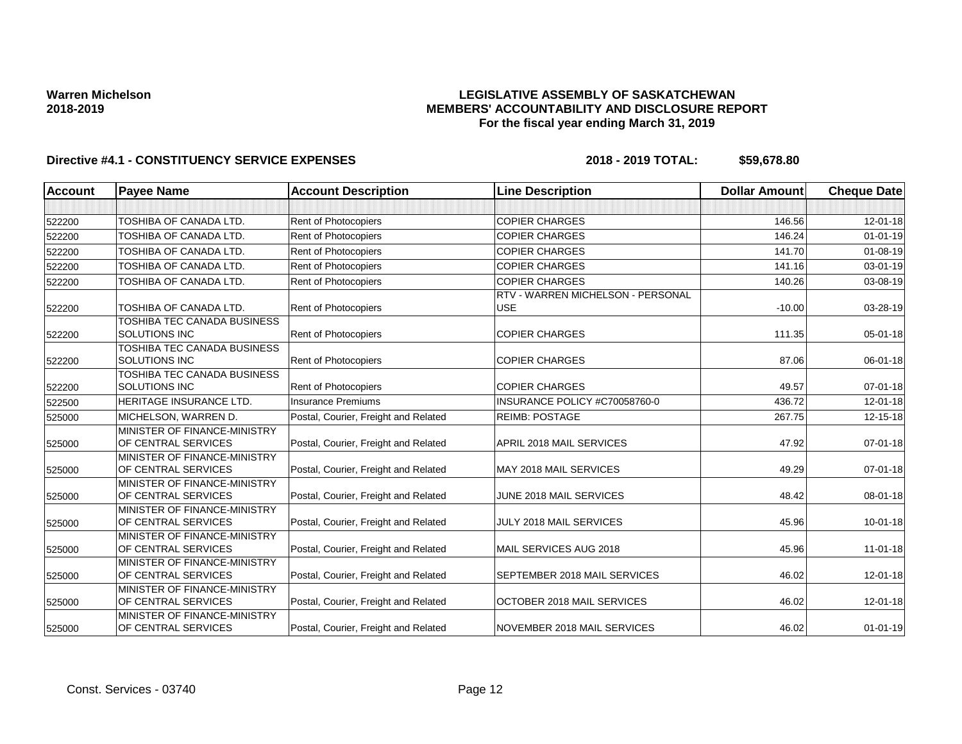## **LEGISLATIVE ASSEMBLY OF SASKATCHEWAN MEMBERS' ACCOUNTABILITY AND DISCLOSURE REPORT For the fiscal year ending March 31, 2019**

| <b>Account</b> | <b>Payee Name</b>                                   | <b>Account Description</b>           | <b>Line Description</b>                         | <b>Dollar Amount</b> | <b>Cheque Date</b> |
|----------------|-----------------------------------------------------|--------------------------------------|-------------------------------------------------|----------------------|--------------------|
|                |                                                     |                                      |                                                 |                      |                    |
| 522200         | TOSHIBA OF CANADA LTD.                              | Rent of Photocopiers                 | <b>COPIER CHARGES</b>                           | 146.56               | $12 - 01 - 18$     |
| 522200         | TOSHIBA OF CANADA LTD.                              | Rent of Photocopiers                 | <b>COPIER CHARGES</b>                           | 146.24               | $01 - 01 - 19$     |
| 522200         | TOSHIBA OF CANADA LTD.                              | <b>Rent of Photocopiers</b>          | <b>COPIER CHARGES</b>                           | 141.70               | $01 - 08 - 19$     |
| 522200         | TOSHIBA OF CANADA LTD.                              | Rent of Photocopiers                 | <b>COPIER CHARGES</b>                           | 141.16               | 03-01-19           |
| 522200         | TOSHIBA OF CANADA LTD.                              | <b>Rent of Photocopiers</b>          | <b>COPIER CHARGES</b>                           | 140.26               | 03-08-19           |
| 522200         | TOSHIBA OF CANADA LTD.                              | Rent of Photocopiers                 | RTV - WARREN MICHELSON - PERSONAL<br><b>USE</b> | $-10.00$             | 03-28-19           |
| 522200         | TOSHIBA TEC CANADA BUSINESS<br><b>SOLUTIONS INC</b> | <b>Rent of Photocopiers</b>          | <b>COPIER CHARGES</b>                           | 111.35               | 05-01-18           |
| 522200         | <b>TOSHIBA TEC CANADA BUSINESS</b><br>SOLUTIONS INC | <b>Rent of Photocopiers</b>          | <b>COPIER CHARGES</b>                           | 87.06                | 06-01-18           |
| 522200         | TOSHIBA TEC CANADA BUSINESS<br><b>SOLUTIONS INC</b> | Rent of Photocopiers                 | <b>COPIER CHARGES</b>                           | 49.57                | $07 - 01 - 18$     |
| 522500         | HERITAGE INSURANCE LTD.                             | <b>Insurance Premiums</b>            | INSURANCE POLICY #C70058760-0                   | 436.72               | $12 - 01 - 18$     |
| 525000         | MICHELSON, WARREN D.                                | Postal, Courier, Freight and Related | <b>REIMB: POSTAGE</b>                           | 267.75               | $12 - 15 - 18$     |
| 525000         | MINISTER OF FINANCE-MINISTRY<br>OF CENTRAL SERVICES | Postal, Courier, Freight and Related | APRIL 2018 MAIL SERVICES                        | 47.92                | $07 - 01 - 18$     |
| 525000         | MINISTER OF FINANCE-MINISTRY<br>OF CENTRAL SERVICES | Postal, Courier, Freight and Related | MAY 2018 MAIL SERVICES                          | 49.29                | $07 - 01 - 18$     |
| 525000         | MINISTER OF FINANCE-MINISTRY<br>OF CENTRAL SERVICES | Postal, Courier, Freight and Related | JUNE 2018 MAIL SERVICES                         | 48.42                | 08-01-18           |
| 525000         | MINISTER OF FINANCE-MINISTRY<br>OF CENTRAL SERVICES | Postal, Courier, Freight and Related | JULY 2018 MAIL SERVICES                         | 45.96                | $10 - 01 - 18$     |
| 525000         | MINISTER OF FINANCE-MINISTRY<br>OF CENTRAL SERVICES | Postal, Courier, Freight and Related | MAIL SERVICES AUG 2018                          | 45.96                | $11 - 01 - 18$     |
| 525000         | MINISTER OF FINANCE-MINISTRY<br>OF CENTRAL SERVICES | Postal, Courier, Freight and Related | SEPTEMBER 2018 MAIL SERVICES                    | 46.02                | 12-01-18           |
| 525000         | MINISTER OF FINANCE-MINISTRY<br>OF CENTRAL SERVICES | Postal, Courier, Freight and Related | OCTOBER 2018 MAIL SERVICES                      | 46.02                | 12-01-18           |
| 525000         | MINISTER OF FINANCE-MINISTRY<br>OF CENTRAL SERVICES | Postal, Courier, Freight and Related | NOVEMBER 2018 MAIL SERVICES                     | 46.02                | $01 - 01 - 19$     |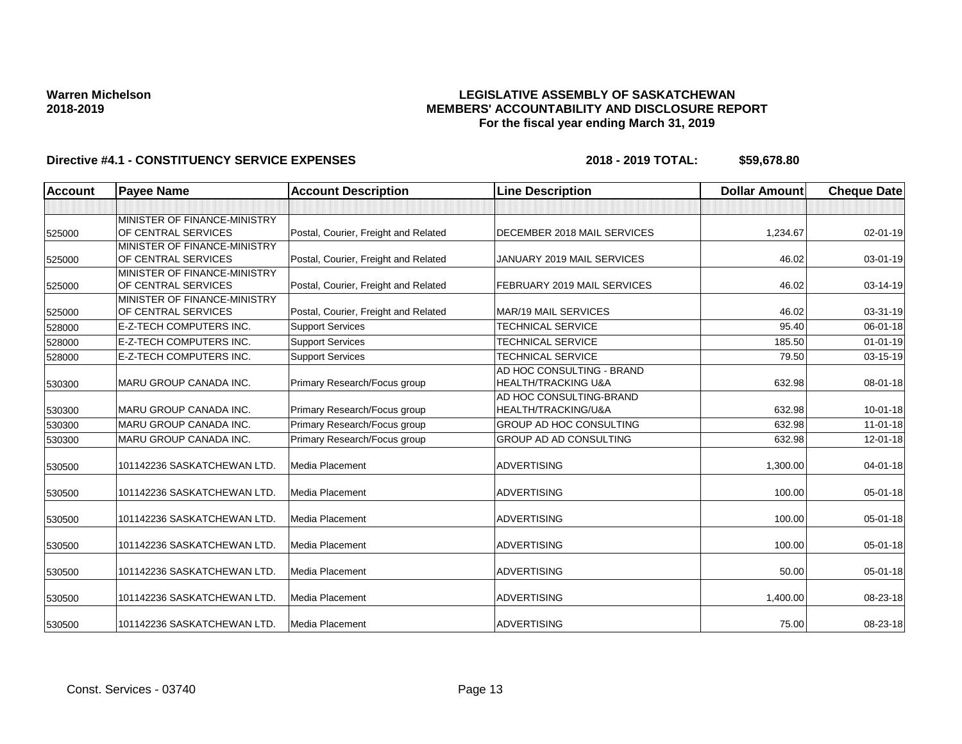## **LEGISLATIVE ASSEMBLY OF SASKATCHEWAN MEMBERS' ACCOUNTABILITY AND DISCLOSURE REPORT For the fiscal year ending March 31, 2019**

| <b>Account</b> | <b>Payee Name</b>              | <b>Account Description</b>           | <b>Line Description</b>        | <b>Dollar Amount</b> | <b>Cheque Date</b> |
|----------------|--------------------------------|--------------------------------------|--------------------------------|----------------------|--------------------|
|                |                                |                                      |                                |                      |                    |
|                | MINISTER OF FINANCE-MINISTRY   |                                      |                                |                      |                    |
| 525000         | OF CENTRAL SERVICES            | Postal, Courier, Freight and Related | DECEMBER 2018 MAIL SERVICES    | 1,234.67             | 02-01-19           |
|                | MINISTER OF FINANCE-MINISTRY   |                                      |                                |                      |                    |
| 525000         | OF CENTRAL SERVICES            | Postal, Courier, Freight and Related | JANUARY 2019 MAIL SERVICES     | 46.02                | $03 - 01 - 19$     |
|                | MINISTER OF FINANCE-MINISTRY   |                                      |                                |                      |                    |
| 525000         | OF CENTRAL SERVICES            | Postal, Courier, Freight and Related | FEBRUARY 2019 MAIL SERVICES    | 46.02                | 03-14-19           |
|                | MINISTER OF FINANCE-MINISTRY   |                                      |                                |                      |                    |
| 525000         | OF CENTRAL SERVICES            | Postal, Courier, Freight and Related | MAR/19 MAIL SERVICES           | 46.02                | 03-31-19           |
| 528000         | <b>E-Z-TECH COMPUTERS INC.</b> | <b>Support Services</b>              | <b>TECHNICAL SERVICE</b>       | 95.40                | 06-01-18           |
| 528000         | <b>E-Z-TECH COMPUTERS INC.</b> | <b>Support Services</b>              | <b>TECHNICAL SERVICE</b>       | 185.50               | $01 - 01 - 19$     |
| 528000         | <b>E-Z-TECH COMPUTERS INC.</b> | <b>Support Services</b>              | <b>TECHNICAL SERVICE</b>       | 79.50                | 03-15-19           |
|                |                                |                                      | AD HOC CONSULTING - BRAND      |                      |                    |
| 530300         | MARU GROUP CANADA INC.         | Primary Research/Focus group         | <b>HEALTH/TRACKING U&amp;A</b> | 632.98               | 08-01-18           |
|                |                                |                                      | AD HOC CONSULTING-BRAND        |                      |                    |
| 530300         | <b>IMARU GROUP CANADA INC.</b> | Primary Research/Focus group         | HEALTH/TRACKING/U&A            | 632.98               | $10 - 01 - 18$     |
| 530300         | <b>MARU GROUP CANADA INC.</b>  | Primary Research/Focus group         | <b>GROUP AD HOC CONSULTING</b> | 632.98               | $11 - 01 - 18$     |
| 530300         | <b>MARU GROUP CANADA INC.</b>  | Primary Research/Focus group         | <b>GROUP AD AD CONSULTING</b>  | 632.98               | $12 - 01 - 18$     |
| 530500         | 101142236 SASKATCHEWAN LTD.    | Media Placement                      | <b>ADVERTISING</b>             | 1,300.00             | 04-01-18           |
| 530500         | 101142236 SASKATCHEWAN LTD.    | Media Placement                      | <b>ADVERTISING</b>             | 100.00               | 05-01-18           |
| 530500         | 101142236 SASKATCHEWAN LTD.    | Media Placement                      | <b>ADVERTISING</b>             | 100.00               | 05-01-18           |
| 530500         | 101142236 SASKATCHEWAN LTD.    | Media Placement                      | <b>ADVERTISING</b>             | 100.00               | 05-01-18           |
| 530500         | 101142236 SASKATCHEWAN LTD.    | Media Placement                      | <b>ADVERTISING</b>             | 50.00                | 05-01-18           |
| 530500         | 101142236 SASKATCHEWAN LTD.    | <b>Media Placement</b>               | <b>ADVERTISING</b>             | 1,400.00             | 08-23-18           |
| 530500         | 101142236 SASKATCHEWAN LTD.    | Media Placement                      | <b>ADVERTISING</b>             | 75.00                | 08-23-18           |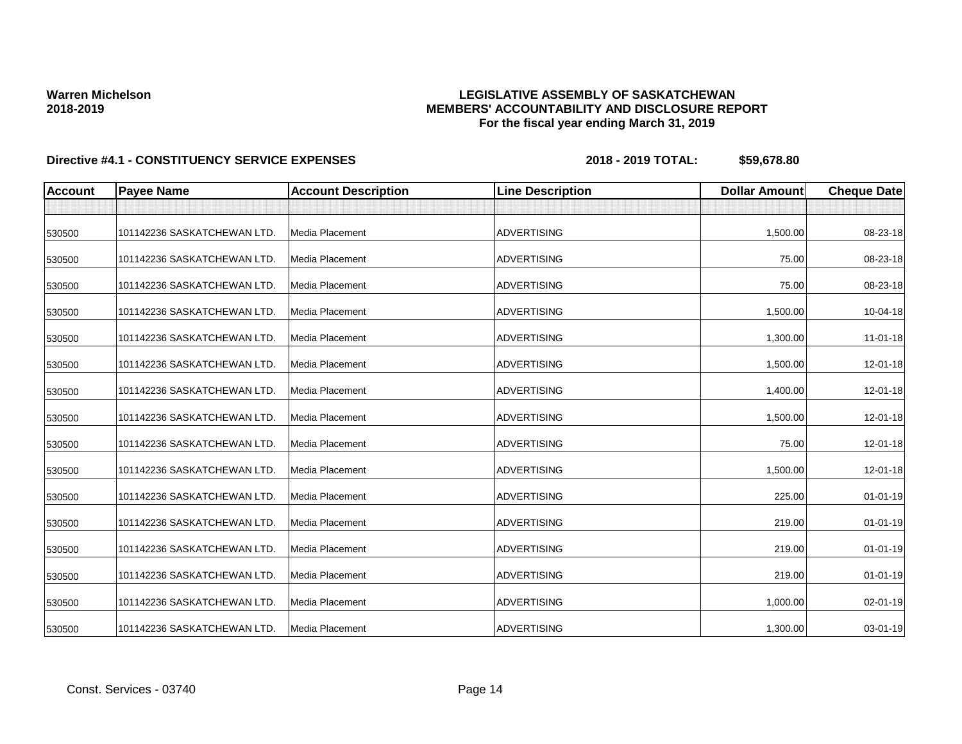## **LEGISLATIVE ASSEMBLY OF SASKATCHEWAN MEMBERS' ACCOUNTABILITY AND DISCLOSURE REPORT For the fiscal year ending March 31, 2019**

| <b>Account</b> | <b>Payee Name</b>           | <b>Account Description</b> | <b>Line Description</b> | <b>Dollar Amount</b> | <b>Cheque Date</b> |
|----------------|-----------------------------|----------------------------|-------------------------|----------------------|--------------------|
|                |                             |                            |                         |                      |                    |
| 530500         | 101142236 SASKATCHEWAN LTD. | Media Placement            | <b>ADVERTISING</b>      | 1,500.00             | 08-23-18           |
| 530500         | 101142236 SASKATCHEWAN LTD. | <b>Media Placement</b>     | <b>ADVERTISING</b>      | 75.00                | 08-23-18           |
| 530500         | 101142236 SASKATCHEWAN LTD. | Media Placement            | <b>ADVERTISING</b>      | 75.00                | 08-23-18           |
| 530500         | 101142236 SASKATCHEWAN LTD. | Media Placement            | <b>ADVERTISING</b>      | 1,500.00             | 10-04-18           |
| 530500         | 101142236 SASKATCHEWAN LTD. | Media Placement            | <b>ADVERTISING</b>      | 1,300.00             | $11-01-18$         |
| 530500         | 101142236 SASKATCHEWAN LTD. | Media Placement            | <b>ADVERTISING</b>      | 1,500.00             | 12-01-18           |
| 530500         | 101142236 SASKATCHEWAN LTD. | Media Placement            | <b>ADVERTISING</b>      | 1,400.00             | 12-01-18           |
| 530500         | 101142236 SASKATCHEWAN LTD. | Media Placement            | <b>ADVERTISING</b>      | 1,500.00             | 12-01-18           |
| 530500         | 101142236 SASKATCHEWAN LTD. | <b>Media Placement</b>     | <b>ADVERTISING</b>      | 75.00                | 12-01-18           |
| 530500         | 101142236 SASKATCHEWAN LTD. | Media Placement            | <b>ADVERTISING</b>      | 1,500.00             | 12-01-18           |
| 530500         | 101142236 SASKATCHEWAN LTD. | <b>Media Placement</b>     | <b>ADVERTISING</b>      | 225.00               | $01 - 01 - 19$     |
| 530500         | 101142236 SASKATCHEWAN LTD. | Media Placement            | <b>ADVERTISING</b>      | 219.00               | $01 - 01 - 19$     |
| 530500         | 101142236 SASKATCHEWAN LTD. | Media Placement            | <b>ADVERTISING</b>      | 219.00               | $01 - 01 - 19$     |
| 530500         | 101142236 SASKATCHEWAN LTD. | Media Placement            | <b>ADVERTISING</b>      | 219.00               | $01 - 01 - 19$     |
| 530500         | 101142236 SASKATCHEWAN LTD. | <b>Media Placement</b>     | <b>ADVERTISING</b>      | 1,000.00             | 02-01-19           |
| 530500         | 101142236 SASKATCHEWAN LTD. | <b>Media Placement</b>     | <b>ADVERTISING</b>      | 1,300.00             | 03-01-19           |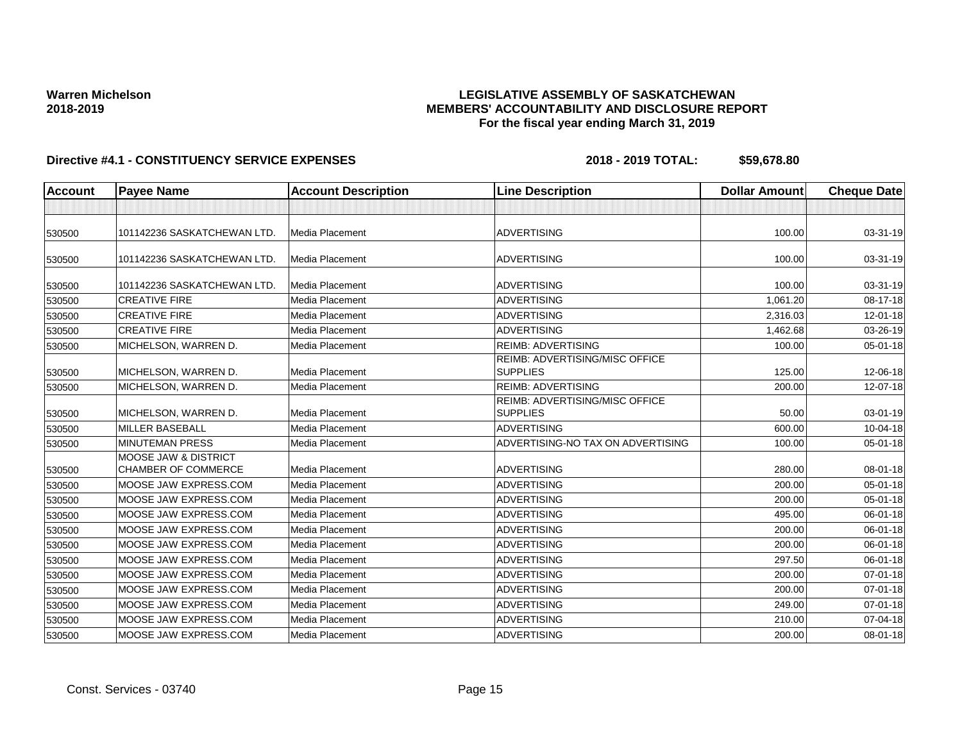## **LEGISLATIVE ASSEMBLY OF SASKATCHEWAN MEMBERS' ACCOUNTABILITY AND DISCLOSURE REPORT For the fiscal year ending March 31, 2019**

| <b>Account</b> | <b>Payee Name</b>                                             | <b>Account Description</b> | <b>Line Description</b>                           | <b>Dollar Amount</b> | <b>Cheque Date</b> |
|----------------|---------------------------------------------------------------|----------------------------|---------------------------------------------------|----------------------|--------------------|
|                |                                                               |                            |                                                   |                      |                    |
| 530500         | 101142236 SASKATCHEWAN LTD.                                   | Media Placement            | <b>ADVERTISING</b>                                | 100.00               | 03-31-19           |
| 530500         | 101142236 SASKATCHEWAN LTD.                                   | Media Placement            | <b>ADVERTISING</b>                                | 100.00               | 03-31-19           |
| 530500         | 101142236 SASKATCHEWAN LTD.                                   | Media Placement            | <b>ADVERTISING</b>                                | 100.00               | 03-31-19           |
| 530500         | <b>CREATIVE FIRE</b>                                          | Media Placement            | <b>ADVERTISING</b>                                | 1,061.20             | 08-17-18           |
| 530500         | <b>CREATIVE FIRE</b>                                          | Media Placement            | <b>ADVERTISING</b>                                | 2,316.03             | $12 - 01 - 18$     |
| 530500         | <b>CREATIVE FIRE</b>                                          | Media Placement            | <b>ADVERTISING</b>                                | 1,462.68             | 03-26-19           |
| 530500         | MICHELSON, WARREN D.                                          | Media Placement            | <b>REIMB: ADVERTISING</b>                         | 100.00               | $05 - 01 - 18$     |
| 530500         | MICHELSON, WARREN D.                                          | Media Placement            | REIMB: ADVERTISING/MISC OFFICE<br><b>SUPPLIES</b> | 125.00               | 12-06-18           |
| 530500         | MICHELSON, WARREN D.                                          | Media Placement            | <b>REIMB: ADVERTISING</b>                         | 200.00               | 12-07-18           |
| 530500         | MICHELSON, WARREN D.                                          | Media Placement            | REIMB: ADVERTISING/MISC OFFICE<br><b>SUPPLIES</b> | 50.00                | 03-01-19           |
| 530500         | <b>MILLER BASEBALL</b>                                        | Media Placement            | <b>ADVERTISING</b>                                | 600.00               | 10-04-18           |
| 530500         | <b>MINUTEMAN PRESS</b>                                        | Media Placement            | ADVERTISING-NO TAX ON ADVERTISING                 | 100.00               | 05-01-18           |
| 530500         | <b>MOOSE JAW &amp; DISTRICT</b><br><b>CHAMBER OF COMMERCE</b> | Media Placement            | <b>ADVERTISING</b>                                | 280.00               | 08-01-18           |
| 530500         | MOOSE JAW EXPRESS.COM                                         | Media Placement            | <b>ADVERTISING</b>                                | 200.00               | $05 - 01 - 18$     |
| 530500         | MOOSE JAW EXPRESS.COM                                         | Media Placement            | <b>ADVERTISING</b>                                | 200.00               | 05-01-18           |
| 530500         | MOOSE JAW EXPRESS.COM                                         | Media Placement            | <b>ADVERTISING</b>                                | 495.00               | 06-01-18           |
| 530500         | MOOSE JAW EXPRESS.COM                                         | Media Placement            | <b>ADVERTISING</b>                                | 200.00               | 06-01-18           |
| 530500         | MOOSE JAW EXPRESS.COM                                         | Media Placement            | <b>ADVERTISING</b>                                | 200.00               | 06-01-18           |
| 530500         | MOOSE JAW EXPRESS.COM                                         | Media Placement            | <b>ADVERTISING</b>                                | 297.50               | 06-01-18           |
| 530500         | MOOSE JAW EXPRESS.COM                                         | Media Placement            | <b>ADVERTISING</b>                                | 200.00               | $07 - 01 - 18$     |
| 530500         | MOOSE JAW EXPRESS.COM                                         | Media Placement            | <b>ADVERTISING</b>                                | 200.00               | $07 - 01 - 18$     |
| 530500         | MOOSE JAW EXPRESS.COM                                         | Media Placement            | <b>ADVERTISING</b>                                | 249.00               | $07 - 01 - 18$     |
| 530500         | MOOSE JAW EXPRESS.COM                                         | Media Placement            | <b>ADVERTISING</b>                                | 210.00               | 07-04-18           |
| 530500         | MOOSE JAW EXPRESS.COM                                         | Media Placement            | <b>ADVERTISING</b>                                | 200.00               | 08-01-18           |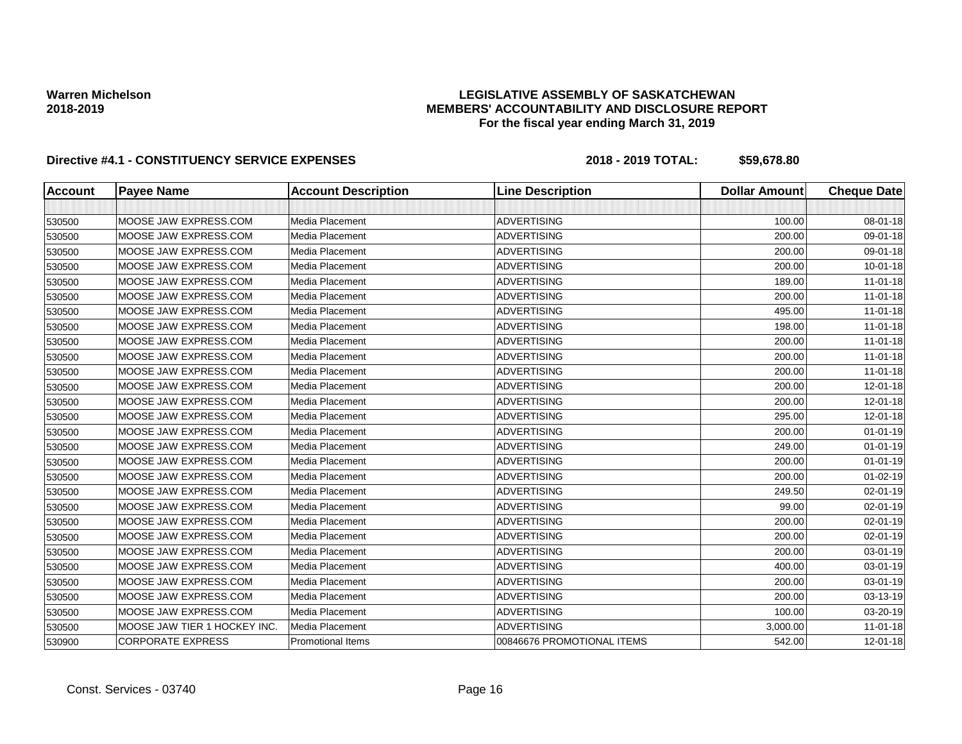## **LEGISLATIVE ASSEMBLY OF SASKATCHEWAN MEMBERS' ACCOUNTABILITY AND DISCLOSURE REPORT For the fiscal year ending March 31, 2019**

| <b>Account</b> | <b>Payee Name</b>           | <b>Account Description</b> | <b>Line Description</b>    | <b>Dollar Amount</b> | <b>Cheque Date</b> |
|----------------|-----------------------------|----------------------------|----------------------------|----------------------|--------------------|
|                |                             |                            |                            |                      |                    |
| 530500         | MOOSE JAW EXPRESS.COM       | Media Placement            | <b>ADVERTISING</b>         | 100.00               | 08-01-18           |
| 530500         | MOOSE JAW EXPRESS.COM       | Media Placement            | <b>ADVERTISING</b>         | 200.00               | 09-01-18           |
| 530500         | MOOSE JAW EXPRESS.COM       | Media Placement            | <b>ADVERTISING</b>         | 200.00               | 09-01-18           |
| 530500         | MOOSE JAW EXPRESS.COM       | Media Placement            | <b>ADVERTISING</b>         | 200.00               | $10 - 01 - 18$     |
| 530500         | MOOSE JAW EXPRESS.COM       | Media Placement            | <b>ADVERTISING</b>         | 189.00               | $11-01-18$         |
| 530500         | MOOSE JAW EXPRESS.COM       | Media Placement            | <b>ADVERTISING</b>         | 200.00               | $11 - 01 - 18$     |
| 530500         | MOOSE JAW EXPRESS.COM       | Media Placement            | <b>ADVERTISING</b>         | 495.00               | $11-01-18$         |
| 530500         | MOOSE JAW EXPRESS.COM       | Media Placement            | <b>ADVERTISING</b>         | 198.00               | $11-01-18$         |
| 530500         | MOOSE JAW EXPRESS.COM       | Media Placement            | <b>ADVERTISING</b>         | 200.00               | 11-01-18           |
| 530500         | MOOSE JAW EXPRESS.COM       | Media Placement            | <b>ADVERTISING</b>         | 200.00               | $11-01-18$         |
| 530500         | MOOSE JAW EXPRESS.COM       | Media Placement            | <b>ADVERTISING</b>         | 200.00               | $11 - 01 - 18$     |
| 530500         | MOOSE JAW EXPRESS.COM       | Media Placement            | <b>ADVERTISING</b>         | 200.00               | 12-01-18           |
| 530500         | MOOSE JAW EXPRESS.COM       | Media Placement            | <b>ADVERTISING</b>         | 200.00               | 12-01-18           |
| 530500         | MOOSE JAW EXPRESS.COM       | Media Placement            | <b>ADVERTISING</b>         | 295.00               | 12-01-18           |
| 530500         | MOOSE JAW EXPRESS.COM       | Media Placement            | <b>ADVERTISING</b>         | 200.00               | $01 - 01 - 19$     |
| 530500         | MOOSE JAW EXPRESS.COM       | Media Placement            | <b>ADVERTISING</b>         | 249.00               | $01 - 01 - 19$     |
| 530500         | MOOSE JAW EXPRESS.COM       | Media Placement            | <b>ADVERTISING</b>         | 200.00               | $01 - 01 - 19$     |
| 530500         | MOOSE JAW EXPRESS.COM       | Media Placement            | <b>ADVERTISING</b>         | 200.00               | $01 - 02 - 19$     |
| 530500         | MOOSE JAW EXPRESS.COM       | Media Placement            | <b>ADVERTISING</b>         | 249.50               | 02-01-19           |
| 530500         | MOOSE JAW EXPRESS.COM       | Media Placement            | <b>ADVERTISING</b>         | 99.00                | 02-01-19           |
| 530500         | MOOSE JAW EXPRESS.COM       | Media Placement            | <b>ADVERTISING</b>         | 200.00               | 02-01-19           |
| 530500         | MOOSE JAW EXPRESS.COM       | Media Placement            | <b>ADVERTISING</b>         | 200.00               | 02-01-19           |
| 530500         | MOOSE JAW EXPRESS.COM       | Media Placement            | <b>ADVERTISING</b>         | 200.00               | 03-01-19           |
| 530500         | MOOSE JAW EXPRESS.COM       | Media Placement            | <b>ADVERTISING</b>         | 400.00               | 03-01-19           |
| 530500         | MOOSE JAW EXPRESS.COM       | Media Placement            | <b>ADVERTISING</b>         | 200.00               | 03-01-19           |
| 530500         | MOOSE JAW EXPRESS.COM       | Media Placement            | <b>ADVERTISING</b>         | 200.00               | 03-13-19           |
| 530500         | MOOSE JAW EXPRESS.COM       | Media Placement            | <b>ADVERTISING</b>         | 100.00               | 03-20-19           |
| 530500         | MOOSE JAW TIER 1 HOCKEY INC | Media Placement            | <b>ADVERTISING</b>         | 3,000.00             | $11-01-18$         |
| 530900         | <b>CORPORATE EXPRESS</b>    | <b>Promotional Items</b>   | 00846676 PROMOTIONAL ITEMS | 542.00               | 12-01-18           |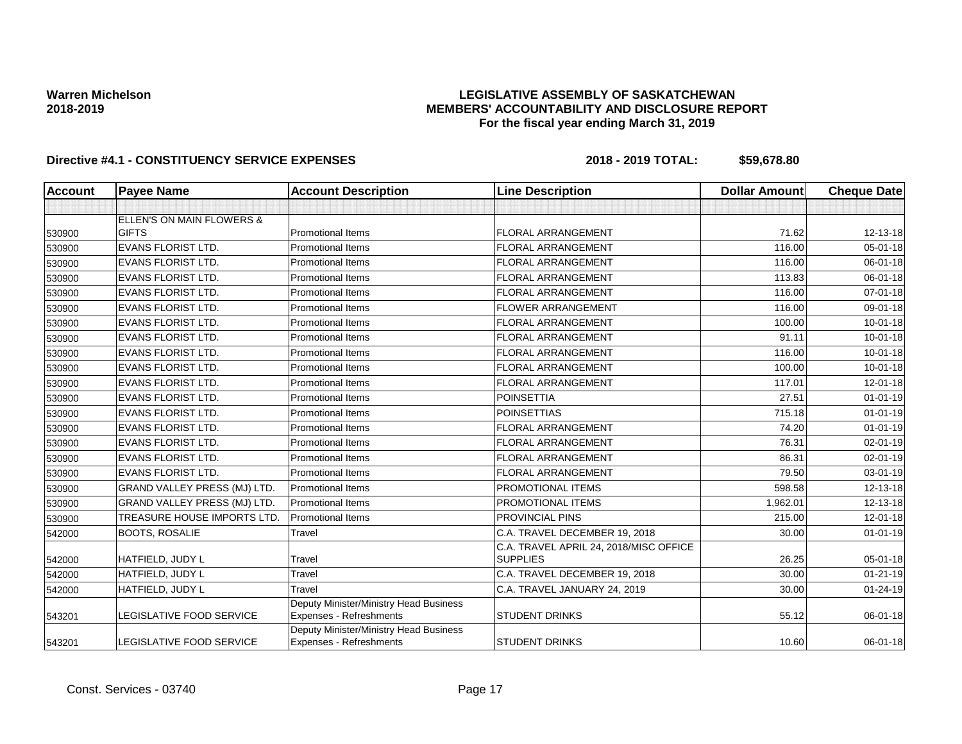## **LEGISLATIVE ASSEMBLY OF SASKATCHEWAN MEMBERS' ACCOUNTABILITY AND DISCLOSURE REPORT For the fiscal year ending March 31, 2019**

| <b>Account</b> | <b>Payee Name</b>                   | <b>Account Description</b>                                        | <b>Line Description</b>                | <b>Dollar Amount</b> | <b>Cheque Date</b> |
|----------------|-------------------------------------|-------------------------------------------------------------------|----------------------------------------|----------------------|--------------------|
|                |                                     |                                                                   |                                        |                      |                    |
|                | ELLEN'S ON MAIN FLOWERS &           |                                                                   |                                        |                      |                    |
| 530900         | <b>GIFTS</b>                        | <b>Promotional Items</b>                                          | <b>FLORAL ARRANGEMENT</b>              | 71.62                | 12-13-18           |
| 530900         | <b>EVANS FLORIST LTD.</b>           | <b>Promotional Items</b>                                          | <b>FLORAL ARRANGEMENT</b>              | 116.00               | $05 - 01 - 18$     |
| 530900         | <b>EVANS FLORIST LTD.</b>           | <b>Promotional Items</b>                                          | <b>FLORAL ARRANGEMENT</b>              | 116.00               | 06-01-18           |
| 530900         | EVANS FLORIST LTD.                  | <b>Promotional Items</b>                                          | <b>FLORAL ARRANGEMENT</b>              | 113.83               | 06-01-18           |
| 530900         | <b>EVANS FLORIST LTD.</b>           | <b>Promotional Items</b>                                          | <b>FLORAL ARRANGEMENT</b>              | 116.00               | $07 - 01 - 18$     |
| 530900         | <b>EVANS FLORIST LTD.</b>           | <b>Promotional Items</b>                                          | <b>FLOWER ARRANGEMENT</b>              | 116.00               | 09-01-18           |
| 530900         | EVANS FLORIST LTD.                  | <b>Promotional Items</b>                                          | <b>FLORAL ARRANGEMENT</b>              | 100.00               | $10 - 01 - 18$     |
| 530900         | <b>EVANS FLORIST LTD.</b>           | <b>Promotional Items</b>                                          | <b>FLORAL ARRANGEMENT</b>              | 91.11                | $10 - 01 - 18$     |
| 530900         | <b>EVANS FLORIST LTD.</b>           | <b>Promotional Items</b>                                          | <b>FLORAL ARRANGEMENT</b>              | 116.00               | $10 - 01 - 18$     |
| 530900         | <b>EVANS FLORIST LTD.</b>           | <b>Promotional Items</b>                                          | <b>FLORAL ARRANGEMENT</b>              | 100.00               | $10 - 01 - 18$     |
| 530900         | <b>EVANS FLORIST LTD.</b>           | <b>Promotional Items</b>                                          | <b>FLORAL ARRANGEMENT</b>              | 117.01               | 12-01-18           |
| 530900         | <b>EVANS FLORIST LTD.</b>           | <b>Promotional Items</b>                                          | <b>POINSETTIA</b>                      | 27.51                | $01 - 01 - 19$     |
| 530900         | <b>EVANS FLORIST LTD.</b>           | <b>Promotional Items</b>                                          | <b>POINSETTIAS</b>                     | 715.18               | $01 - 01 - 19$     |
| 530900         | <b>EVANS FLORIST LTD.</b>           | <b>Promotional Items</b>                                          | <b>FLORAL ARRANGEMENT</b>              | 74.20                | $01 - 01 - 19$     |
| 530900         | <b>EVANS FLORIST LTD.</b>           | <b>Promotional Items</b>                                          | <b>FLORAL ARRANGEMENT</b>              | 76.31                | $02 - 01 - 19$     |
| 530900         | <b>EVANS FLORIST LTD.</b>           | <b>Promotional Items</b>                                          | <b>FLORAL ARRANGEMENT</b>              | 86.31                | 02-01-19           |
| 530900         | EVANS FLORIST LTD.                  | <b>Promotional Items</b>                                          | <b>FLORAL ARRANGEMENT</b>              | 79.50                | 03-01-19           |
| 530900         | GRAND VALLEY PRESS (MJ) LTD.        | <b>Promotional Items</b>                                          | PROMOTIONAL ITEMS                      | 598.58               | 12-13-18           |
| 530900         | <b>GRAND VALLEY PRESS (MJ) LTD.</b> | <b>Promotional Items</b>                                          | PROMOTIONAL ITEMS                      | 1,962.01             | 12-13-18           |
| 530900         | TREASURE HOUSE IMPORTS LTD.         | Promotional Items                                                 | PROVINCIAL PINS                        | 215.00               | 12-01-18           |
| 542000         | <b>BOOTS, ROSALIE</b>               | Travel                                                            | C.A. TRAVEL DECEMBER 19, 2018          | 30.00                | $01 - 01 - 19$     |
|                |                                     |                                                                   | C.A. TRAVEL APRIL 24, 2018/MISC OFFICE |                      |                    |
| 542000         | HATFIELD, JUDY L                    | Travel                                                            | <b>SUPPLIES</b>                        | 26.25                | 05-01-18           |
| 542000         | HATFIELD, JUDY L                    | Travel                                                            | C.A. TRAVEL DECEMBER 19, 2018          | 30.00                | $01 - 21 - 19$     |
| 542000         | HATFIELD, JUDY L                    | Travel                                                            | C.A. TRAVEL JANUARY 24, 2019           | 30.00                | $01 - 24 - 19$     |
| 543201         | LEGISLATIVE FOOD SERVICE            | Deputy Minister/Ministry Head Business<br>Expenses - Refreshments | <b>STUDENT DRINKS</b>                  | 55.12                | 06-01-18           |
| 543201         | LEGISLATIVE FOOD SERVICE            | Deputy Minister/Ministry Head Business<br>Expenses - Refreshments | <b>STUDENT DRINKS</b>                  | 10.60                | 06-01-18           |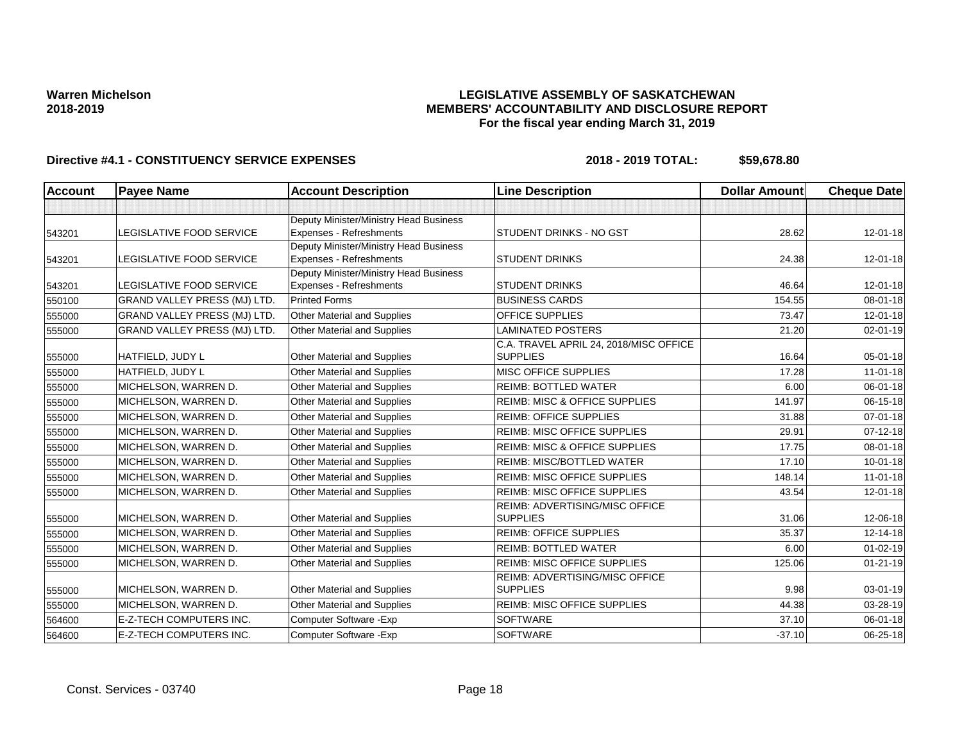## **LEGISLATIVE ASSEMBLY OF SASKATCHEWAN MEMBERS' ACCOUNTABILITY AND DISCLOSURE REPORT For the fiscal year ending March 31, 2019**

| Account | <b>Payee Name</b>                   | <b>Account Description</b>                                        | <b>Line Description</b>                                   | <b>Dollar Amount</b> | <b>Cheque Date</b> |
|---------|-------------------------------------|-------------------------------------------------------------------|-----------------------------------------------------------|----------------------|--------------------|
|         |                                     |                                                                   |                                                           |                      |                    |
| 543201  | LEGISLATIVE FOOD SERVICE            | Deputy Minister/Ministry Head Business<br>Expenses - Refreshments | STUDENT DRINKS - NO GST                                   | 28.62                | $12 - 01 - 18$     |
| 543201  | LEGISLATIVE FOOD SERVICE            | Deputy Minister/Ministry Head Business<br>Expenses - Refreshments | <b>STUDENT DRINKS</b>                                     | 24.38                | 12-01-18           |
| 543201  | LEGISLATIVE FOOD SERVICE            | Deputy Minister/Ministry Head Business<br>Expenses - Refreshments | <b>STUDENT DRINKS</b>                                     | 46.64                | $12 - 01 - 18$     |
| 550100  | <b>GRAND VALLEY PRESS (MJ) LTD.</b> | <b>Printed Forms</b>                                              | <b>BUSINESS CARDS</b>                                     | 154.55               | 08-01-18           |
| 555000  | <b>GRAND VALLEY PRESS (MJ) LTD.</b> | <b>Other Material and Supplies</b>                                | <b>OFFICE SUPPLIES</b>                                    | 73.47                | $12 - 01 - 18$     |
| 555000  | GRAND VALLEY PRESS (MJ) LTD.        | <b>Other Material and Supplies</b>                                | <b>LAMINATED POSTERS</b>                                  | 21.20                | 02-01-19           |
| 555000  | HATFIELD, JUDY L                    | <b>Other Material and Supplies</b>                                | C.A. TRAVEL APRIL 24, 2018/MISC OFFICE<br><b>SUPPLIES</b> | 16.64                | 05-01-18           |
| 555000  | HATFIELD, JUDY L                    | Other Material and Supplies                                       | MISC OFFICE SUPPLIES                                      | 17.28                | $11-01-18$         |
| 555000  | MICHELSON, WARREN D.                | Other Material and Supplies                                       | <b>REIMB: BOTTLED WATER</b>                               | 6.00                 | 06-01-18           |
| 555000  | MICHELSON, WARREN D.                | Other Material and Supplies                                       | <b>REIMB: MISC &amp; OFFICE SUPPLIES</b>                  | 141.97               | 06-15-18           |
| 555000  | MICHELSON, WARREN D.                | <b>Other Material and Supplies</b>                                | <b>REIMB: OFFICE SUPPLIES</b>                             | 31.88                | $07 - 01 - 18$     |
| 555000  | MICHELSON, WARREN D.                | <b>Other Material and Supplies</b>                                | <b>REIMB: MISC OFFICE SUPPLIES</b>                        | 29.91                | $07 - 12 - 18$     |
| 555000  | MICHELSON, WARREN D.                | Other Material and Supplies                                       | <b>REIMB: MISC &amp; OFFICE SUPPLIES</b>                  | 17.75                | 08-01-18           |
| 555000  | MICHELSON, WARREN D.                | Other Material and Supplies                                       | REIMB: MISC/BOTTLED WATER                                 | 17.10                | $10 - 01 - 18$     |
| 555000  | MICHELSON, WARREN D.                | Other Material and Supplies                                       | <b>REIMB: MISC OFFICE SUPPLIES</b>                        | 148.14               | $11 - 01 - 18$     |
| 555000  | MICHELSON, WARREN D.                | <b>Other Material and Supplies</b>                                | <b>REIMB: MISC OFFICE SUPPLIES</b>                        | 43.54                | 12-01-18           |
| 555000  | MICHELSON, WARREN D.                | Other Material and Supplies                                       | REIMB: ADVERTISING/MISC OFFICE<br><b>SUPPLIES</b>         | 31.06                | 12-06-18           |
| 555000  | MICHELSON, WARREN D.                | <b>Other Material and Supplies</b>                                | <b>REIMB: OFFICE SUPPLIES</b>                             | 35.37                | 12-14-18           |
| 555000  | MICHELSON, WARREN D.                | Other Material and Supplies                                       | <b>REIMB: BOTTLED WATER</b>                               | 6.00                 | $01 - 02 - 19$     |
| 555000  | MICHELSON, WARREN D.                | Other Material and Supplies                                       | <b>REIMB: MISC OFFICE SUPPLIES</b>                        | 125.06               | $01 - 21 - 19$     |
| 555000  | MICHELSON, WARREN D.                | <b>Other Material and Supplies</b>                                | REIMB: ADVERTISING/MISC OFFICE<br><b>SUPPLIES</b>         | 9.98                 | 03-01-19           |
| 555000  | MICHELSON, WARREN D.                | Other Material and Supplies                                       | REIMB: MISC OFFICE SUPPLIES                               | 44.38                | 03-28-19           |
| 564600  | <b>E-Z-TECH COMPUTERS INC.</b>      | Computer Software - Exp                                           | <b>SOFTWARE</b>                                           | 37.10                | 06-01-18           |
| 564600  | E-Z-TECH COMPUTERS INC.             | Computer Software - Exp                                           | <b>SOFTWARE</b>                                           | $-37.10$             | 06-25-18           |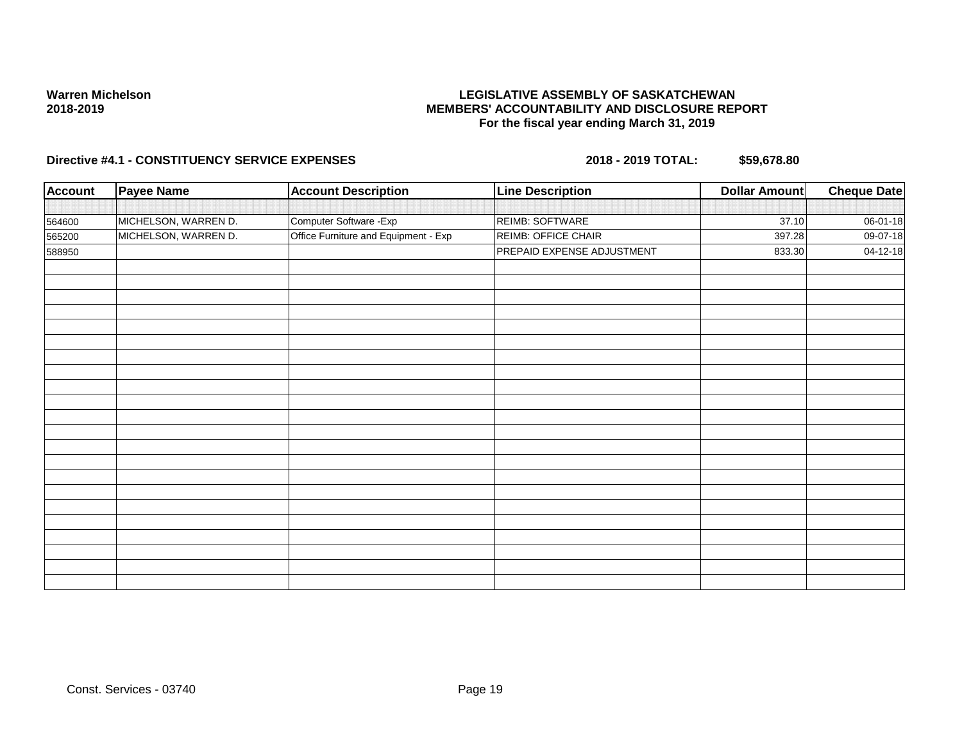## **LEGISLATIVE ASSEMBLY OF SASKATCHEWAN MEMBERS' ACCOUNTABILITY AND DISCLOSURE REPORT For the fiscal year ending March 31, 2019**

| <b>Account</b> | <b>Payee Name</b>    | <b>Account Description</b>           | <b>Line Description</b>    | <b>Dollar Amount</b> | <b>Cheque Date</b> |
|----------------|----------------------|--------------------------------------|----------------------------|----------------------|--------------------|
|                |                      |                                      |                            |                      |                    |
| 564600         | MICHELSON, WARREN D. | Computer Software - Exp              | REIMB: SOFTWARE            | 37.10                | 06-01-18           |
| 565200         | MICHELSON, WARREN D. | Office Furniture and Equipment - Exp | REIMB: OFFICE CHAIR        | 397.28               | $09-07-18$         |
| 588950         |                      |                                      | PREPAID EXPENSE ADJUSTMENT | 833.30               | 04-12-18           |
|                |                      |                                      |                            |                      |                    |
|                |                      |                                      |                            |                      |                    |
|                |                      |                                      |                            |                      |                    |
|                |                      |                                      |                            |                      |                    |
|                |                      |                                      |                            |                      |                    |
|                |                      |                                      |                            |                      |                    |
|                |                      |                                      |                            |                      |                    |
|                |                      |                                      |                            |                      |                    |
|                |                      |                                      |                            |                      |                    |
|                |                      |                                      |                            |                      |                    |
|                |                      |                                      |                            |                      |                    |
|                |                      |                                      |                            |                      |                    |
|                |                      |                                      |                            |                      |                    |
|                |                      |                                      |                            |                      |                    |
|                |                      |                                      |                            |                      |                    |
|                |                      |                                      |                            |                      |                    |
|                |                      |                                      |                            |                      |                    |
|                |                      |                                      |                            |                      |                    |
|                |                      |                                      |                            |                      |                    |
|                |                      |                                      |                            |                      |                    |
|                |                      |                                      |                            |                      |                    |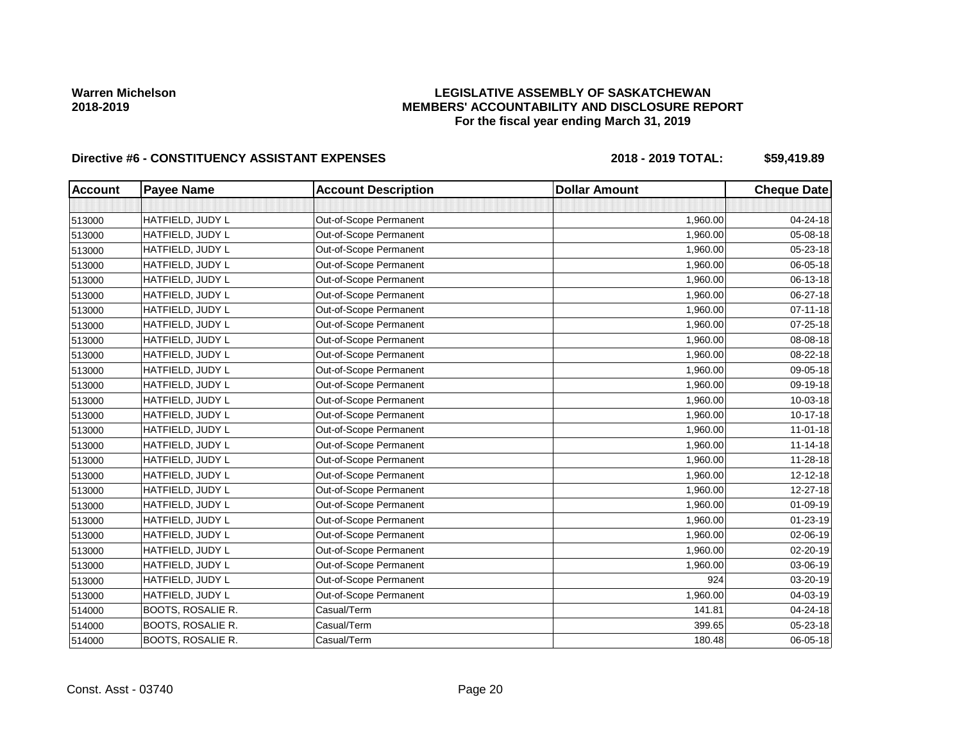# **LEGISLATIVE ASSEMBLY OF SASKATCHEWAN MEMBERS' ACCOUNTABILITY AND DISCLOSURE REPORT For the fiscal year ending March 31, 2019**

| <b>Account</b> | <b>Payee Name</b>        | <b>Account Description</b> | <b>Dollar Amount</b> | <b>Cheque Date</b> |
|----------------|--------------------------|----------------------------|----------------------|--------------------|
|                |                          |                            |                      |                    |
| 513000         | HATFIELD, JUDY L         | Out-of-Scope Permanent     | 1,960.00             | 04-24-18           |
| 513000         | HATFIELD, JUDY L         | Out-of-Scope Permanent     | 1,960.00             | 05-08-18           |
| 513000         | HATFIELD, JUDY L         | Out-of-Scope Permanent     | 1,960.00             | 05-23-18           |
| 513000         | HATFIELD, JUDY L         | Out-of-Scope Permanent     | 1,960.00             | 06-05-18           |
| 513000         | HATFIELD, JUDY L         | Out-of-Scope Permanent     | 1,960.00             | 06-13-18           |
| 513000         | HATFIELD, JUDY L         | Out-of-Scope Permanent     | 1,960.00             | 06-27-18           |
| 513000         | HATFIELD, JUDY L         | Out-of-Scope Permanent     | 1,960.00             | 07-11-18           |
| 513000         | HATFIELD, JUDY L         | Out-of-Scope Permanent     | 1,960.00             | 07-25-18           |
| 513000         | HATFIELD, JUDY L         | Out-of-Scope Permanent     | 1,960.00             | 08-08-18           |
| 513000         | HATFIELD, JUDY L         | Out-of-Scope Permanent     | 1,960.00             | 08-22-18           |
| 513000         | HATFIELD, JUDY L         | Out-of-Scope Permanent     | 1,960.00             | 09-05-18           |
| 513000         | HATFIELD, JUDY L         | Out-of-Scope Permanent     | 1,960.00             | 09-19-18           |
| 513000         | HATFIELD, JUDY L         | Out-of-Scope Permanent     | 1,960.00             | 10-03-18           |
| 513000         | HATFIELD, JUDY L         | Out-of-Scope Permanent     | 1,960.00             | $10 - 17 - 18$     |
| 513000         | HATFIELD, JUDY L         | Out-of-Scope Permanent     | 1,960.00             | $11-01-18$         |
| 513000         | HATFIELD, JUDY L         | Out-of-Scope Permanent     | 1,960.00             | $11 - 14 - 18$     |
| 513000         | HATFIELD, JUDY L         | Out-of-Scope Permanent     | 1,960.00             | $11 - 28 - 18$     |
| 513000         | HATFIELD, JUDY L         | Out-of-Scope Permanent     | 1,960.00             | $12 - 12 - 18$     |
| 513000         | HATFIELD, JUDY L         | Out-of-Scope Permanent     | 1,960.00             | 12-27-18           |
| 513000         | HATFIELD, JUDY L         | Out-of-Scope Permanent     | 1,960.00             | 01-09-19           |
| 513000         | HATFIELD, JUDY L         | Out-of-Scope Permanent     | 1,960.00             | 01-23-19           |
| 513000         | HATFIELD, JUDY L         | Out-of-Scope Permanent     | 1,960.00             | 02-06-19           |
| 513000         | HATFIELD, JUDY L         | Out-of-Scope Permanent     | 1,960.00             | 02-20-19           |
| 513000         | HATFIELD, JUDY L         | Out-of-Scope Permanent     | 1,960.00             | 03-06-19           |
| 513000         | HATFIELD, JUDY L         | Out-of-Scope Permanent     | 924                  | 03-20-19           |
| 513000         | HATFIELD, JUDY L         | Out-of-Scope Permanent     | 1,960.00             | 04-03-19           |
| 514000         | BOOTS, ROSALIE R.        | Casual/Term                | 141.81               | 04-24-18           |
| 514000         | BOOTS, ROSALIE R.        | Casual/Term                | 399.65               | 05-23-18           |
| 514000         | <b>BOOTS, ROSALIE R.</b> | Casual/Term                | 180.48               | 06-05-18           |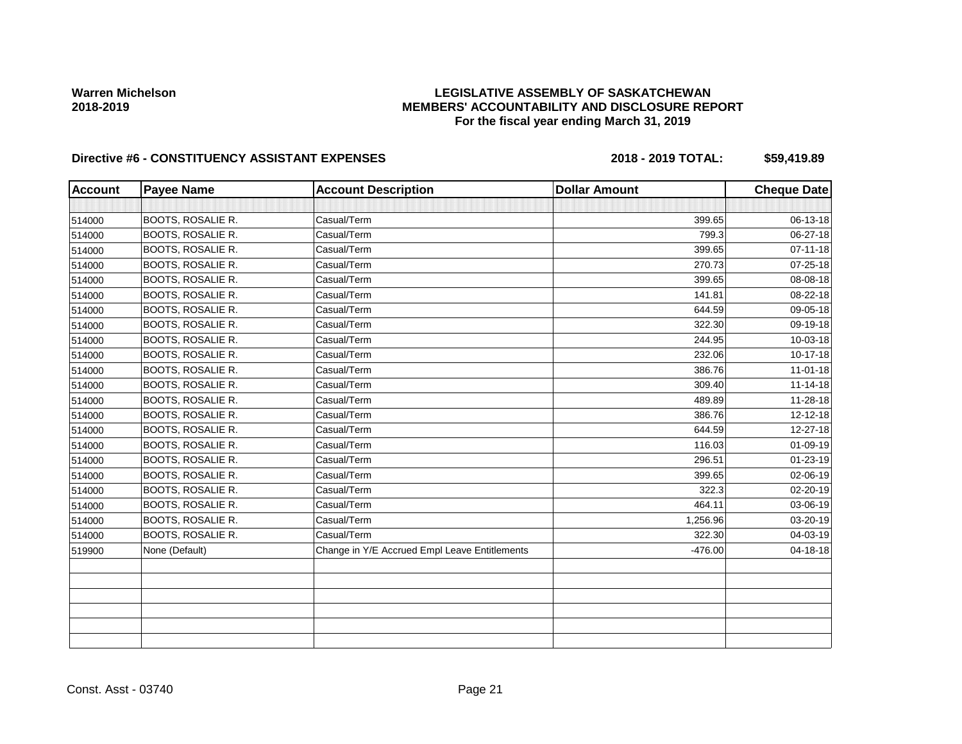# **LEGISLATIVE ASSEMBLY OF SASKATCHEWAN MEMBERS' ACCOUNTABILITY AND DISCLOSURE REPORT For the fiscal year ending March 31, 2019**

| <b>Account</b> | <b>Payee Name</b>        | <b>Account Description</b>                    | <b>Dollar Amount</b> | <b>Cheque Date</b> |
|----------------|--------------------------|-----------------------------------------------|----------------------|--------------------|
|                |                          |                                               |                      |                    |
| 514000         | <b>BOOTS, ROSALIE R.</b> | Casual/Term                                   | 399.65               | 06-13-18           |
| 514000         | BOOTS, ROSALIE R.        | Casual/Term                                   | 799.3                | 06-27-18           |
| 514000         | BOOTS, ROSALIE R.        | Casual/Term                                   | 399.65               | $07 - 11 - 18$     |
| 514000         | BOOTS, ROSALIE R.        | Casual/Term                                   | 270.73               | 07-25-18           |
| 514000         | BOOTS, ROSALIE R.        | Casual/Term                                   | 399.65               | 08-08-18           |
| 514000         | <b>BOOTS, ROSALIE R.</b> | Casual/Term                                   | 141.81               | $08 - 22 - 18$     |
| 514000         | BOOTS, ROSALIE R.        | Casual/Term                                   | 644.59               | 09-05-18           |
| 514000         | <b>BOOTS, ROSALIE R.</b> | Casual/Term                                   | 322.30               | 09-19-18           |
| 514000         | <b>BOOTS, ROSALIE R.</b> | Casual/Term                                   | 244.95               | 10-03-18           |
| 514000         | <b>BOOTS, ROSALIE R.</b> | Casual/Term                                   | 232.06               | $10-17-18$         |
| 514000         | <b>BOOTS, ROSALIE R.</b> | Casual/Term                                   | 386.76               | $11 - 01 - 18$     |
| 514000         | BOOTS, ROSALIE R.        | Casual/Term                                   | 309.40               | $11 - 14 - 18$     |
| 514000         | BOOTS, ROSALIE R.        | Casual/Term                                   | 489.89               | $11 - 28 - 18$     |
| 514000         | <b>BOOTS, ROSALIE R.</b> | Casual/Term                                   | 386.76               | $12 - 12 - 18$     |
| 514000         | BOOTS, ROSALIE R.        | Casual/Term                                   | 644.59               | 12-27-18           |
| 514000         | BOOTS, ROSALIE R.        | Casual/Term                                   | 116.03               | $01 - 09 - 19$     |
| 514000         | BOOTS, ROSALIE R.        | Casual/Term                                   | 296.51               | $01 - 23 - 19$     |
| 514000         | BOOTS, ROSALIE R.        | Casual/Term                                   | 399.65               | 02-06-19           |
| 514000         | BOOTS, ROSALIE R.        | Casual/Term                                   | 322.3                | 02-20-19           |
| 514000         | BOOTS, ROSALIE R.        | Casual/Term                                   | 464.11               | 03-06-19           |
| 514000         | BOOTS, ROSALIE R.        | Casual/Term                                   | 1,256.96             | 03-20-19           |
| 514000         | <b>BOOTS, ROSALIE R.</b> | Casual/Term                                   | 322.30               | 04-03-19           |
| 519900         | None (Default)           | Change in Y/E Accrued Empl Leave Entitlements | -476.00              | 04-18-18           |
|                |                          |                                               |                      |                    |
|                |                          |                                               |                      |                    |
|                |                          |                                               |                      |                    |
|                |                          |                                               |                      |                    |
|                |                          |                                               |                      |                    |
|                |                          |                                               |                      |                    |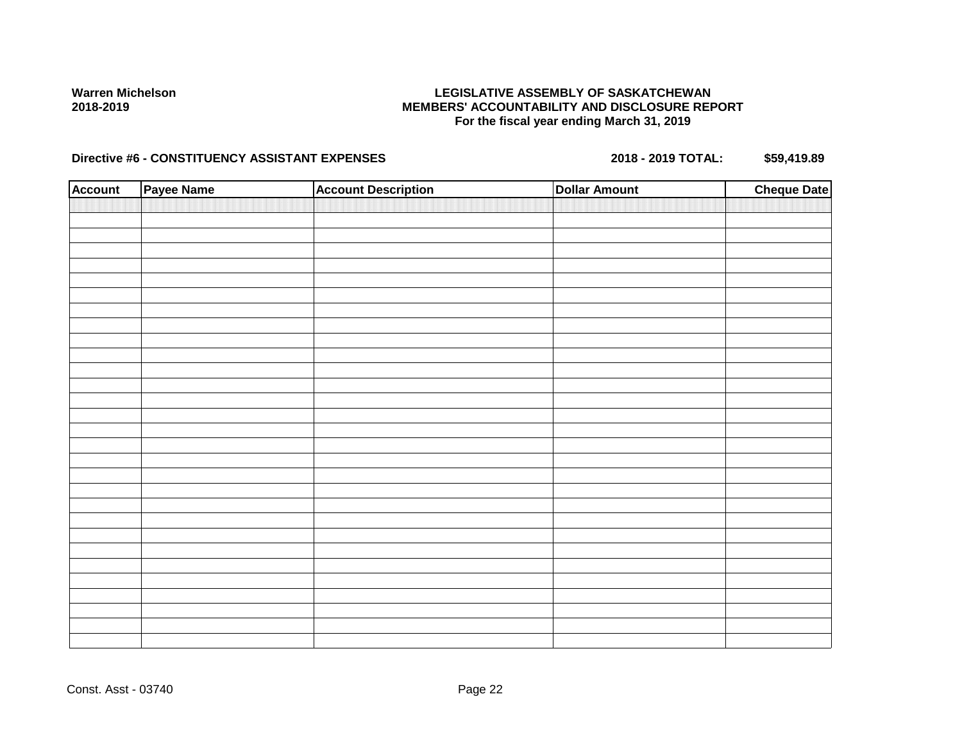# **LEGISLATIVE ASSEMBLY OF SASKATCHEWAN MEMBERS' ACCOUNTABILITY AND DISCLOSURE REPORT For the fiscal year ending March 31, 2019**

| <b>Account</b> | Payee Name | <b>Account Description</b> | <b>Dollar Amount</b> | <b>Cheque Date</b> |
|----------------|------------|----------------------------|----------------------|--------------------|
|                |            |                            |                      |                    |
|                |            |                            |                      |                    |
|                |            |                            |                      |                    |
|                |            |                            |                      |                    |
|                |            |                            |                      |                    |
|                |            |                            |                      |                    |
|                |            |                            |                      |                    |
|                |            |                            |                      |                    |
|                |            |                            |                      |                    |
|                |            |                            |                      |                    |
|                |            |                            |                      |                    |
|                |            |                            |                      |                    |
|                |            |                            |                      |                    |
|                |            |                            |                      |                    |
|                |            |                            |                      |                    |
|                |            |                            |                      |                    |
|                |            |                            |                      |                    |
|                |            |                            |                      |                    |
|                |            |                            |                      |                    |
|                |            |                            |                      |                    |
|                |            |                            |                      |                    |
|                |            |                            |                      |                    |
|                |            |                            |                      |                    |
|                |            |                            |                      |                    |
|                |            |                            |                      |                    |
|                |            |                            |                      |                    |
|                |            |                            |                      |                    |
|                |            |                            |                      |                    |
|                |            |                            |                      |                    |
|                |            |                            |                      |                    |